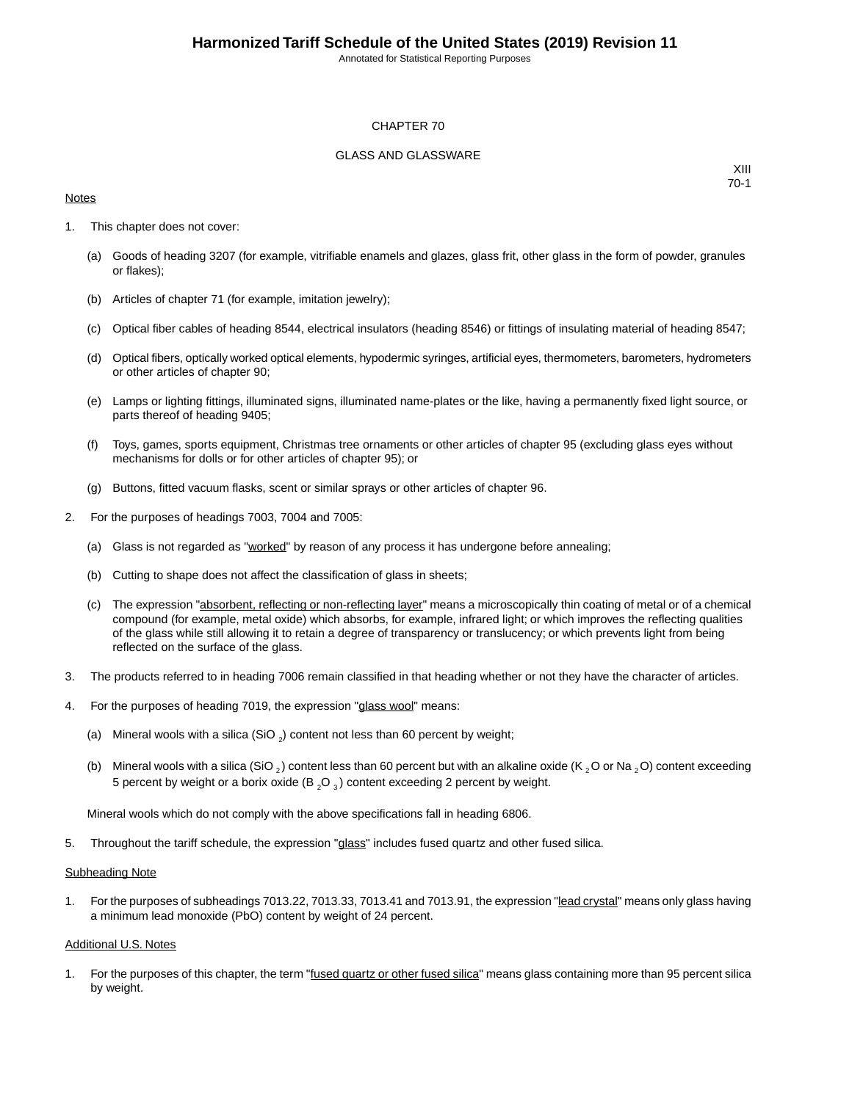Annotated for Statistical Reporting Purposes

#### CHAPTER 70

#### GLASS AND GLASSWARE

#### **Notes**

XIII 70-1

- 1. This chapter does not cover:
	- (a) Goods of heading 3207 (for example, vitrifiable enamels and glazes, glass frit, other glass in the form of powder, granules or flakes);
	- (b) Articles of chapter 71 (for example, imitation jewelry);
	- (c) Optical fiber cables of heading 8544, electrical insulators (heading 8546) or fittings of insulating material of heading 8547;
	- (d) Optical fibers, optically worked optical elements, hypodermic syringes, artificial eyes, thermometers, barometers, hydrometers or other articles of chapter 90;
	- (e) Lamps or lighting fittings, illuminated signs, illuminated name-plates or the like, having a permanently fixed light source, or parts thereof of heading 9405;
	- (f) Toys, games, sports equipment, Christmas tree ornaments or other articles of chapter 95 (excluding glass eyes without mechanisms for dolls or for other articles of chapter 95); or
	- (g) Buttons, fitted vacuum flasks, scent or similar sprays or other articles of chapter 96.
- 2. For the purposes of headings 7003, 7004 and 7005:
	- (a) Glass is not regarded as "worked" by reason of any process it has undergone before annealing;
	- (b) Cutting to shape does not affect the classification of glass in sheets;
	- (c) The expression "absorbent, reflecting or non-reflecting layer" means a microscopically thin coating of metal or of a chemical compound (for example, metal oxide) which absorbs, for example, infrared light; or which improves the reflecting qualities of the glass while still allowing it to retain a degree of transparency or translucency; or which prevents light from being reflected on the surface of the glass.
- 3. The products referred to in heading 7006 remain classified in that heading whether or not they have the character of articles.
- 4. For the purposes of heading 7019, the expression "glass wool" means:
	- (a) Mineral wools with a silica (SiO  $_2$ ) content not less than 60 percent by weight;
	- (b) Mineral wools with a silica (SiO,) content less than 60 percent but with an alkaline oxide (K, O or Na, O) content exceeding 5 percent by weight or a borix oxide (B  $_2$ O  $_3$ ) content exceeding 2 percent by weight.

Mineral wools which do not comply with the above specifications fall in heading 6806.

5. Throughout the tariff schedule, the expression "glass" includes fused quartz and other fused silica.

#### Subheading Note

1. For the purposes of subheadings 7013.22, 7013.33, 7013.41 and 7013.91, the expression "lead crystal" means only glass having a minimum lead monoxide (PbO) content by weight of 24 percent.

#### Additional U.S. Notes

1. For the purposes of this chapter, the term "**fused quartz or other fused silica**" means glass containing more than 95 percent silica by weight.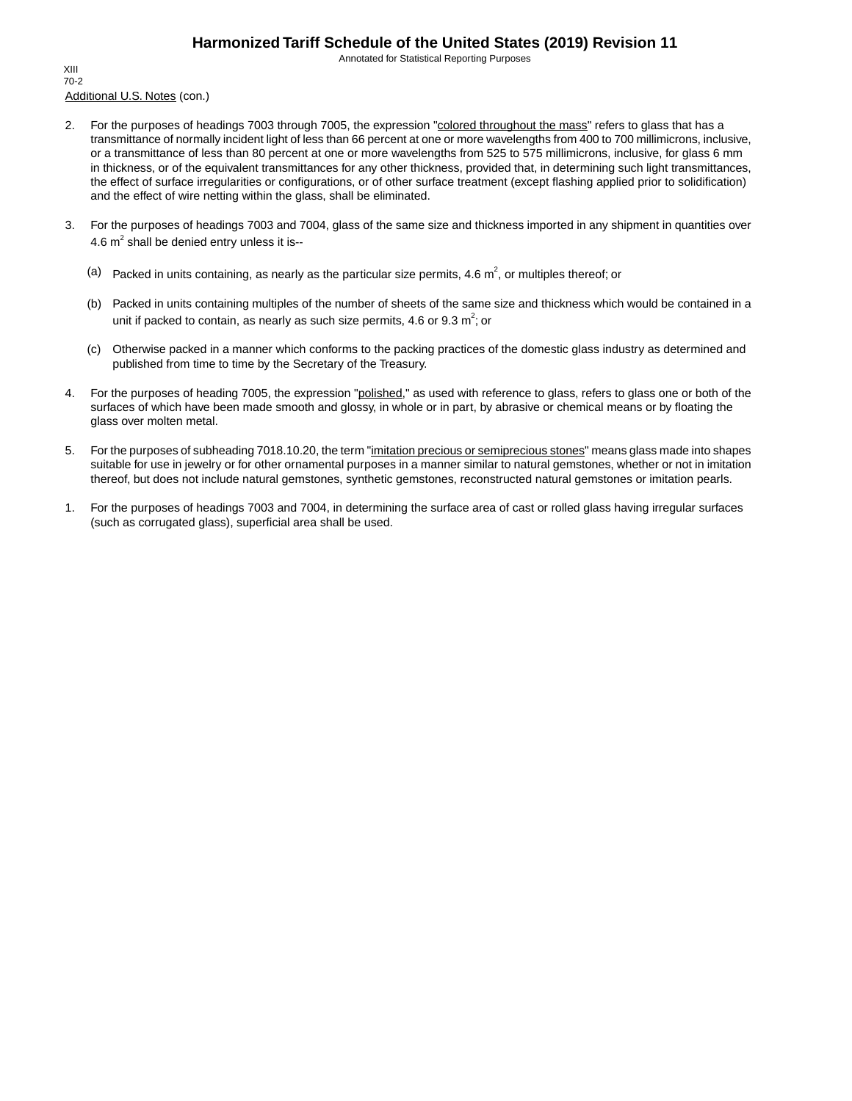Annotated for Statistical Reporting Purposes

Additional U.S. Notes (con.) XIII 70-2

- 2. For the purposes of headings 7003 through 7005, the expression "colored throughout the mass" refers to glass that has a transmittance of normally incident light of less than 66 percent at one or more wavelengths from 400 to 700 millimicrons, inclusive, or a transmittance of less than 80 percent at one or more wavelengths from 525 to 575 millimicrons, inclusive, for glass 6 mm in thickness, or of the equivalent transmittances for any other thickness, provided that, in determining such light transmittances, the effect of surface irregularities or configurations, or of other surface treatment (except flashing applied prior to solidification) and the effect of wire netting within the glass, shall be eliminated.
- 3. For the purposes of headings 7003 and 7004, glass of the same size and thickness imported in any shipment in quantities over 4.6  $m^2$  shall be denied entry unless it is--
	- (a) Packed in units containing, as nearly as the particular size permits, 4.6  $m^2$ , or multiples thereof; or
	- (b) Packed in units containing multiples of the number of sheets of the same size and thickness which would be contained in a unit if packed to contain, as nearly as such size permits, 4.6 or 9.3  $m^2$ ; or
	- (c) Otherwise packed in a manner which conforms to the packing practices of the domestic glass industry as determined and published from time to time by the Secretary of the Treasury.
- 4. For the purposes of heading 7005, the expression "polished," as used with reference to glass, refers to glass one or both of the surfaces of which have been made smooth and glossy, in whole or in part, by abrasive or chemical means or by floating the glass over molten metal.
- 5. For the purposes of subheading 7018.10.20, the term "imitation precious or semiprecious stones" means glass made into shapes suitable for use in jewelry or for other ornamental purposes in a manner similar to natural gemstones, whether or not in imitation thereof, but does not include natural gemstones, synthetic gemstones, reconstructed natural gemstones or imitation pearls.
- 1. For the purposes of headings 7003 and 7004, in determining the surface area of cast or rolled glass having irregular surfaces (such as corrugated glass), superficial area shall be used.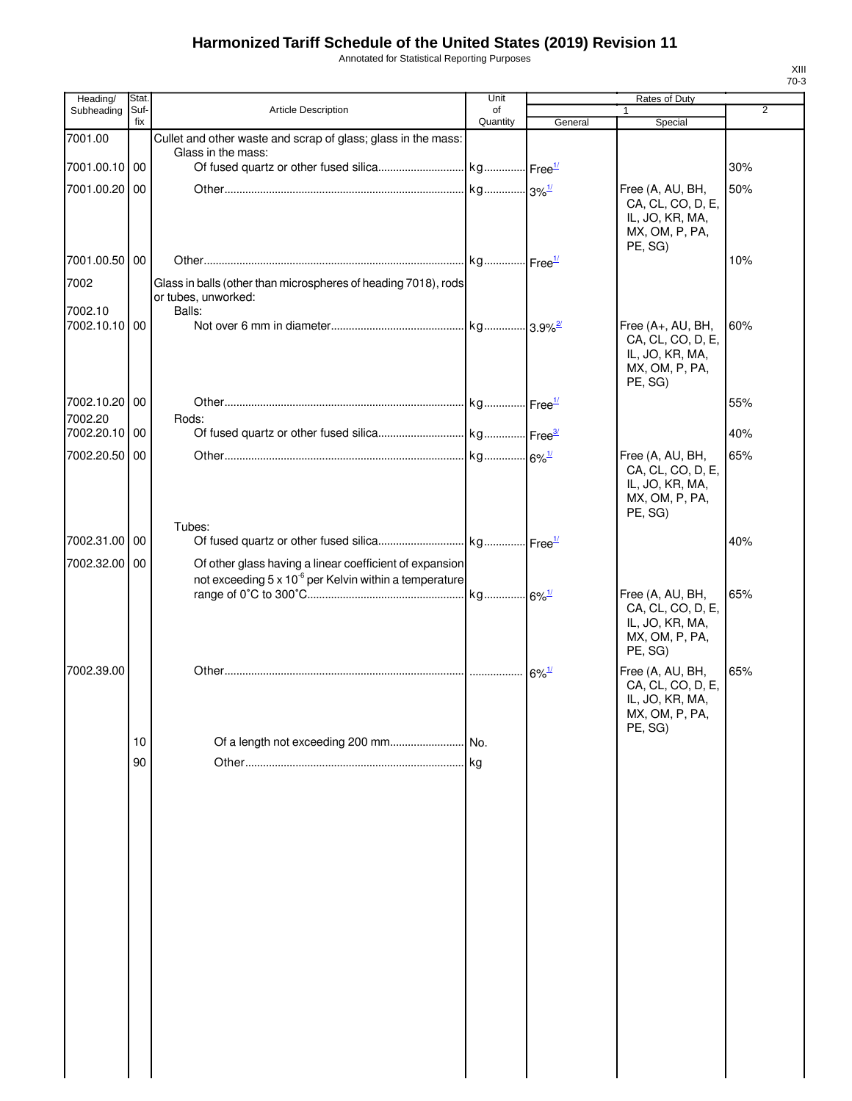Annotated for Statistical Reporting Purposes

| Heading/                 | Stat.       |                                                                                                                               | Unit                |                     | Rates of Duty                          |                |
|--------------------------|-------------|-------------------------------------------------------------------------------------------------------------------------------|---------------------|---------------------|----------------------------------------|----------------|
| Subheading               | Suf-<br>fix | <b>Article Description</b>                                                                                                    | of<br>Quantity      | General             | Special                                | $\overline{2}$ |
| 7001.00                  |             | Cullet and other waste and scrap of glass; glass in the mass:                                                                 |                     |                     |                                        |                |
|                          |             | Glass in the mass:                                                                                                            |                     |                     |                                        |                |
| 7001.00.10 00            |             |                                                                                                                               |                     |                     |                                        | 30%            |
| 7001.00.20 00            |             |                                                                                                                               | kg 3% <sup>1/</sup> |                     | Free (A, AU, BH,                       | 50%            |
|                          |             |                                                                                                                               |                     |                     | CA, CL, CO, D, E,                      |                |
|                          |             |                                                                                                                               |                     |                     | IL, JO, KR, MA,<br>MX, OM, P, PA,      |                |
|                          |             |                                                                                                                               |                     |                     | PE, SG)                                |                |
| 7001.00.50 00            |             |                                                                                                                               |                     |                     |                                        | 10%            |
| 7002                     |             | Glass in balls (other than microspheres of heading 7018), rods                                                                |                     |                     |                                        |                |
|                          |             | or tubes, unworked:                                                                                                           |                     |                     |                                        |                |
| 7002.10<br>7002.10.10 00 |             | Balls:                                                                                                                        |                     |                     |                                        |                |
|                          |             |                                                                                                                               |                     |                     | Free (A+, AU, BH,<br>CA, CL, CO, D, E, | 60%            |
|                          |             |                                                                                                                               |                     |                     | IL, JO, KR, MA,                        |                |
|                          |             |                                                                                                                               |                     |                     | MX, OM, P, PA,                         |                |
|                          |             |                                                                                                                               |                     |                     | PE, SG)                                |                |
| 7002.10.20 00            |             |                                                                                                                               |                     |                     |                                        | 55%            |
| 7002.20<br>7002.20.10 00 |             | Rods:                                                                                                                         |                     |                     |                                        | 40%            |
|                          |             |                                                                                                                               |                     |                     |                                        |                |
| 7002.20.50 00            |             |                                                                                                                               |                     |                     | Free (A, AU, BH,<br>CA, CL, CO, D, E,  | 65%            |
|                          |             |                                                                                                                               |                     |                     | IL, JO, KR, MA,                        |                |
|                          |             |                                                                                                                               |                     |                     | MX, OM, P, PA,                         |                |
|                          |             |                                                                                                                               |                     |                     | PE, SG)                                |                |
| 7002.31.00 00            |             | Tubes:                                                                                                                        |                     |                     |                                        | 40%            |
|                          |             |                                                                                                                               |                     |                     |                                        |                |
| 7002.32.00 00            |             | Of other glass having a linear coefficient of expansion<br>not exceeding 5 x 10 <sup>-6</sup> per Kelvin within a temperature |                     |                     |                                        |                |
|                          |             |                                                                                                                               |                     |                     | Free (A, AU, BH,                       | 65%            |
|                          |             |                                                                                                                               |                     |                     | CA, CL, CO, D, E,                      |                |
|                          |             |                                                                                                                               |                     |                     | IL, JO, KR, MA,                        |                |
|                          |             |                                                                                                                               |                     |                     | MX, OM, P, PA,<br>PE, SG)              |                |
| 7002.39.00               |             |                                                                                                                               |                     | $6\%$ <sup>1/</sup> | Free (A, AU, BH,                       | 65%            |
|                          |             |                                                                                                                               |                     |                     | CA, CL, CO, D, E,                      |                |
|                          |             |                                                                                                                               |                     |                     | IL, JO, KR, MA,                        |                |
|                          |             |                                                                                                                               |                     |                     | MX, OM, P, PA,<br>PE, SG)              |                |
|                          | 10          | Of a length not exceeding 200 mm                                                                                              | No.                 |                     |                                        |                |
|                          | 90          |                                                                                                                               | <b>kg</b>           |                     |                                        |                |
|                          |             |                                                                                                                               |                     |                     |                                        |                |
|                          |             |                                                                                                                               |                     |                     |                                        |                |
|                          |             |                                                                                                                               |                     |                     |                                        |                |
|                          |             |                                                                                                                               |                     |                     |                                        |                |
|                          |             |                                                                                                                               |                     |                     |                                        |                |
|                          |             |                                                                                                                               |                     |                     |                                        |                |
|                          |             |                                                                                                                               |                     |                     |                                        |                |
|                          |             |                                                                                                                               |                     |                     |                                        |                |
|                          |             |                                                                                                                               |                     |                     |                                        |                |
|                          |             |                                                                                                                               |                     |                     |                                        |                |
|                          |             |                                                                                                                               |                     |                     |                                        |                |
|                          |             |                                                                                                                               |                     |                     |                                        |                |
|                          |             |                                                                                                                               |                     |                     |                                        |                |
|                          |             |                                                                                                                               |                     |                     |                                        |                |
|                          |             |                                                                                                                               |                     |                     |                                        |                |
|                          |             |                                                                                                                               |                     |                     |                                        |                |
|                          |             |                                                                                                                               |                     |                     |                                        |                |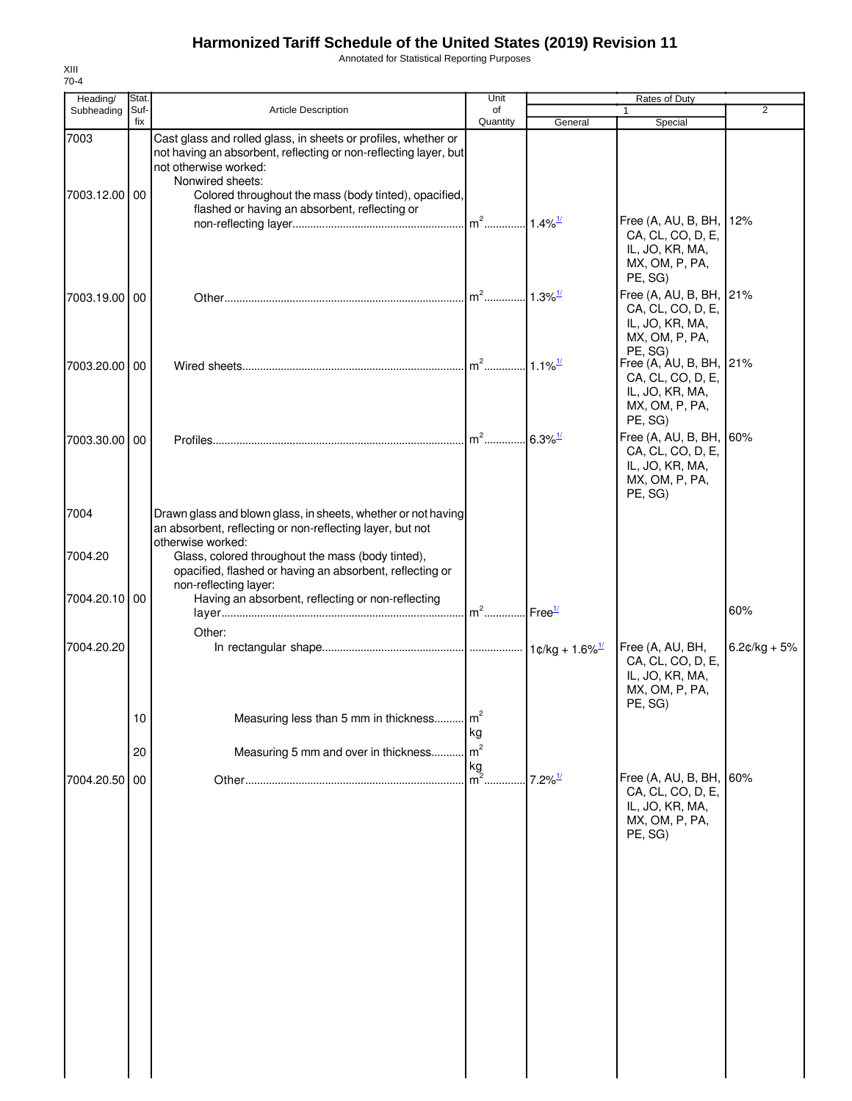Annotated for Statistical Reporting Purposes

| Heading/              | Stat.       |                                                                                                                                                                                                                                          | Unit                                   |                       | Rates of Duty                                                                                |                |
|-----------------------|-------------|------------------------------------------------------------------------------------------------------------------------------------------------------------------------------------------------------------------------------------------|----------------------------------------|-----------------------|----------------------------------------------------------------------------------------------|----------------|
| Subheading            | Suf-<br>fix | <b>Article Description</b>                                                                                                                                                                                                               | of<br>Quantity                         | General               | $\mathbf{1}$<br>Special                                                                      | 2              |
| 7003<br>7003.12.00 00 |             | Cast glass and rolled glass, in sheets or profiles, whether or<br>not having an absorbent, reflecting or non-reflecting layer, but<br>not otherwise worked:<br>Nonwired sheets:<br>Colored throughout the mass (body tinted), opacified, |                                        |                       |                                                                                              |                |
|                       |             | flashed or having an absorbent, reflecting or                                                                                                                                                                                            | $m2$                                   | $1.4\%$ <sup>1/</sup> | Free (A, AU, B, BH,<br>CA, CL, CO, D, E,<br>IL, JO, KR, MA,<br>MX, OM, P, PA,<br>PE, SG)     | 12%            |
| 7003.19.00 00         |             |                                                                                                                                                                                                                                          | $m2$ .                                 | $1.3\%$ <sup>1/</sup> | Free (A, AU, B, BH, 21%<br>CA, CL, CO, D, E,<br>IL, JO, KR, MA,<br>MX, OM, P, PA,<br>PE, SG) |                |
| 7003.20.00 00         |             |                                                                                                                                                                                                                                          |                                        |                       | Free (A, AU, B, BH, 21%<br>CA, CL, CO, D, E,<br>IL, JO, KR, MA,<br>MX, OM, P, PA,<br>PE, SG) |                |
| 7003.30.00 00         |             |                                                                                                                                                                                                                                          | $m2$ .                                 | $6.3\%$ <sup>1/</sup> | Free (A, AU, B, BH, 60%<br>CA, CL, CO, D, E,<br>IL, JO, KR, MA,<br>MX, OM, P, PA,<br>PE, SG) |                |
| 7004                  |             | Drawn glass and blown glass, in sheets, whether or not having<br>an absorbent, reflecting or non-reflecting layer, but not<br>otherwise worked:                                                                                          |                                        |                       |                                                                                              |                |
| 7004.20               |             | Glass, colored throughout the mass (body tinted),<br>opacified, flashed or having an absorbent, reflecting or<br>non-reflecting layer:                                                                                                   |                                        |                       |                                                                                              |                |
| 7004.20.10 00         |             | Having an absorbent, reflecting or non-reflecting<br>Other:                                                                                                                                                                              | m <sup>2</sup> Free <sup>1/</sup>      |                       |                                                                                              | 60%            |
| 7004.20.20            |             |                                                                                                                                                                                                                                          |                                        |                       | Free (A, AU, BH,<br>CA, CL, CO, D, E,<br>IL, JO, KR, MA,<br>MX, OM, P, PA,<br>PE, SG)        | $6.2¢/kg + 5%$ |
|                       | 10<br>20    | Measuring less than 5 mm in thickness<br>Measuring 5 mm and over in thickness                                                                                                                                                            | m <sup>2</sup><br>kg<br>m <sup>2</sup> |                       |                                                                                              |                |
| 7004.20.50            | 00          |                                                                                                                                                                                                                                          | $\frac{kg}{m^2}$ .                     | $7.2\%$ <sup>1/</sup> | Free (A, AU, B, BH,<br>CA, CL, CO, D, E,<br>IL, JO, KR, MA,<br>MX, OM, P, PA,                | 60%            |
|                       |             |                                                                                                                                                                                                                                          |                                        |                       | PE, SG)                                                                                      |                |
|                       |             |                                                                                                                                                                                                                                          |                                        |                       |                                                                                              |                |
|                       |             |                                                                                                                                                                                                                                          |                                        |                       |                                                                                              |                |
|                       |             |                                                                                                                                                                                                                                          |                                        |                       |                                                                                              |                |
|                       |             |                                                                                                                                                                                                                                          |                                        |                       |                                                                                              |                |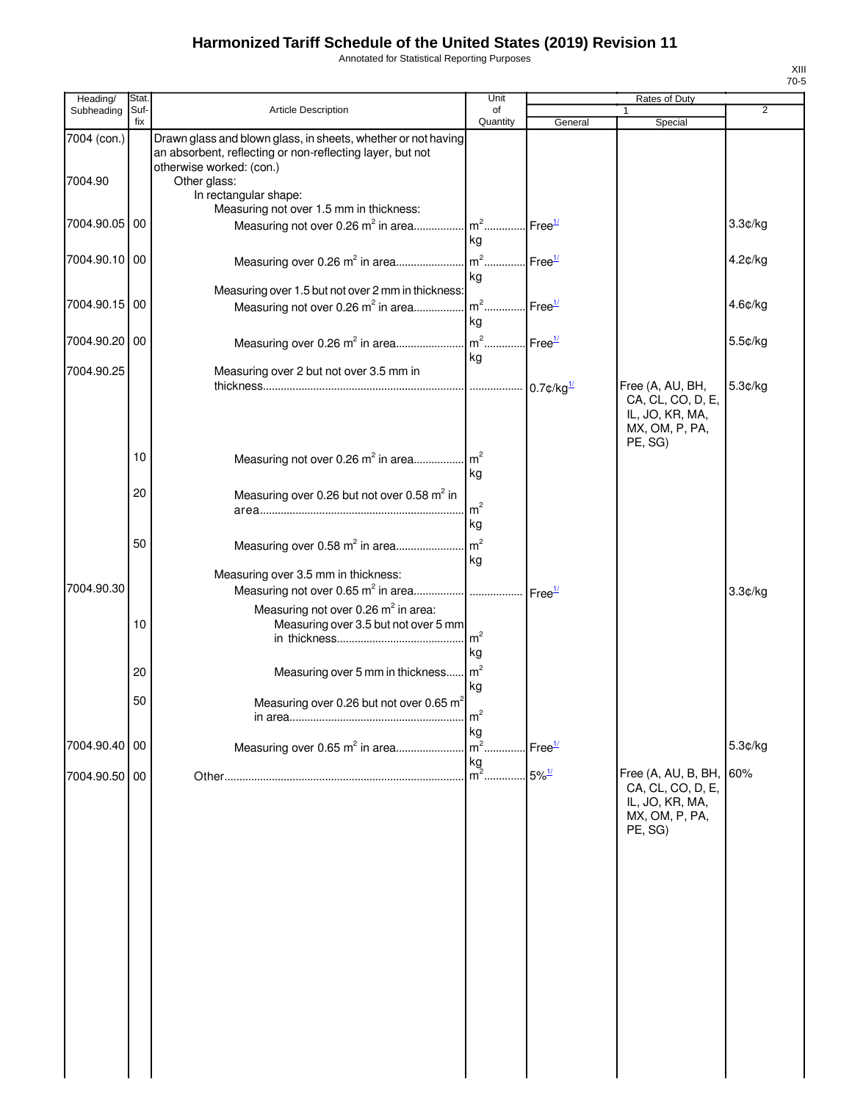Annotated for Statistical Reporting Purposes

| Heading/      | Stat.       |                                                                                                                                                        | Unit                 |                          | Rates of Duty                                                                            |         |
|---------------|-------------|--------------------------------------------------------------------------------------------------------------------------------------------------------|----------------------|--------------------------|------------------------------------------------------------------------------------------|---------|
| Subheading    | Suf-<br>fix | Article Description                                                                                                                                    | οf<br>Quantity       | General                  | $\mathbf{1}$<br>Special                                                                  | 2       |
| 7004 (con.)   |             | Drawn glass and blown glass, in sheets, whether or not having<br>an absorbent, reflecting or non-reflecting layer, but not<br>otherwise worked: (con.) |                      |                          |                                                                                          |         |
| 7004.90       |             | Other glass:<br>In rectangular shape:<br>Measuring not over 1.5 mm in thickness:                                                                       |                      |                          |                                                                                          |         |
| 7004.90.05 00 |             | Measuring not over 0.26 $m^2$ in area   m <sup>2</sup>   Free <sup>1/</sup>                                                                            | kg                   |                          |                                                                                          | 3.3¢/kg |
| 7004.90.10 00 |             |                                                                                                                                                        | kg                   |                          |                                                                                          | 4.2¢/kg |
| 7004.90.15 00 |             | Measuring over 1.5 but not over 2 mm in thickness:<br>Measuring not over 0.26 m <sup>2</sup> in area                                                   | $m^2$<br>kg          | Free <sup>1/</sup>       |                                                                                          | 4.6¢/kg |
| 7004.90.20 00 |             |                                                                                                                                                        | kg                   |                          |                                                                                          | 5.5¢/kg |
| 7004.90.25    |             | Measuring over 2 but not over 3.5 mm in                                                                                                                |                      | $0.7$ ¢/kg $\frac{1}{2}$ | Free (A, AU, BH,<br>CA, CL, CO, D, E,<br>IL, JO, KR, MA,<br>MX, OM, P, PA,<br>PE, SG)    | 5.3¢/kg |
|               | 10          |                                                                                                                                                        | kg                   |                          |                                                                                          |         |
|               | 20          | Measuring over 0.26 but not over 0.58 m <sup>2</sup> in                                                                                                | m <sup>2</sup><br>kg |                          |                                                                                          |         |
|               | 50          | Measuring over 0.58 m <sup>2</sup> in area<br>Measuring over 3.5 mm in thickness:                                                                      | m <sup>2</sup><br>kg |                          |                                                                                          |         |
| 7004.90.30    | 10          | Measuring not over 0.26 m <sup>2</sup> in area:<br>Measuring over 3.5 but not over 5 mm                                                                |                      |                          |                                                                                          | 3.3¢/kg |
|               |             |                                                                                                                                                        | m <sup>2</sup><br>kg |                          |                                                                                          |         |
|               | 20          | Measuring over 5 mm in thickness                                                                                                                       | m <sup>2</sup><br>kg |                          |                                                                                          |         |
|               | 50          | Measuring over 0.26 but not over 0.65 m <sup>2</sup>                                                                                                   | $m^2$<br>kg          |                          |                                                                                          |         |
| 7004.90.40 00 |             | Measuring over 0.65 m <sup>2</sup> in area                                                                                                             | $m2$ .<br>kg         | Free <sup>1/</sup>       |                                                                                          | 5.3¢/kg |
| 7004.90.50 00 |             |                                                                                                                                                        | $m2$                 | $5\%$ <sup>1/</sup>      | Free (A, AU, B, BH,<br>CA, CL, CO, D, E,<br>IL, JO, KR, MA,<br>MX, OM, P, PA,<br>PE, SG) | 60%     |
|               |             |                                                                                                                                                        |                      |                          |                                                                                          |         |
|               |             |                                                                                                                                                        |                      |                          |                                                                                          |         |
|               |             |                                                                                                                                                        |                      |                          |                                                                                          |         |
|               |             |                                                                                                                                                        |                      |                          |                                                                                          |         |
|               |             |                                                                                                                                                        |                      |                          |                                                                                          |         |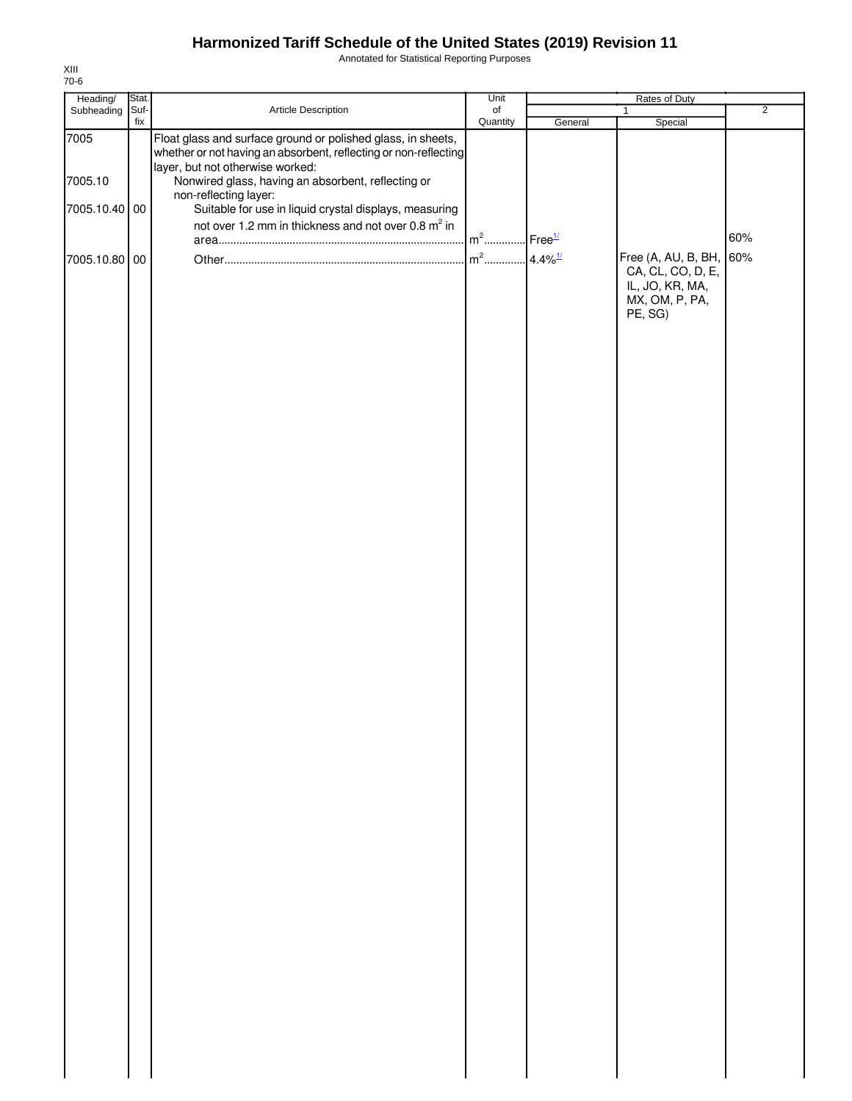Annotated for Statistical Reporting Purposes

| Heading/      | Stat.       |                                                                                                                                                                      | Unit                  | Rates of Duty         |                                                                                              |                |  |
|---------------|-------------|----------------------------------------------------------------------------------------------------------------------------------------------------------------------|-----------------------|-----------------------|----------------------------------------------------------------------------------------------|----------------|--|
| Subheading    | Suf-<br>fix | Article Description                                                                                                                                                  | $\circ$ f<br>Quantity | General               | 1<br>Special                                                                                 | $\overline{2}$ |  |
| 7005          |             | Float glass and surface ground or polished glass, in sheets,<br>whether or not having an absorbent, reflecting or non-reflecting<br>layer, but not otherwise worked: |                       |                       |                                                                                              |                |  |
| 7005.10       |             | Nonwired glass, having an absorbent, reflecting or                                                                                                                   |                       |                       |                                                                                              |                |  |
| 7005.10.40 00 |             | non-reflecting layer:<br>Suitable for use in liquid crystal displays, measuring                                                                                      |                       |                       |                                                                                              |                |  |
|               |             | not over 1.2 mm in thickness and not over 0.8 m <sup>2</sup> in                                                                                                      |                       |                       |                                                                                              |                |  |
|               |             |                                                                                                                                                                      | $m2$                  | Free <sup>1/</sup>    |                                                                                              | 60%            |  |
| 7005.10.80 00 |             |                                                                                                                                                                      | $m2$                  | $4.4\%$ <sup>1/</sup> | Free (A, AU, B, BH, 60%<br>CA, CL, CO, D, E,<br>IL, JO, KR, MA,<br>MX, OM, P, PA,<br>PE, SG) |                |  |
|               |             |                                                                                                                                                                      |                       |                       |                                                                                              |                |  |
|               |             |                                                                                                                                                                      |                       |                       |                                                                                              |                |  |
|               |             |                                                                                                                                                                      |                       |                       |                                                                                              |                |  |
|               |             |                                                                                                                                                                      |                       |                       |                                                                                              |                |  |
|               |             |                                                                                                                                                                      |                       |                       |                                                                                              |                |  |
|               |             |                                                                                                                                                                      |                       |                       |                                                                                              |                |  |
|               |             |                                                                                                                                                                      |                       |                       |                                                                                              |                |  |
|               |             |                                                                                                                                                                      |                       |                       |                                                                                              |                |  |
|               |             |                                                                                                                                                                      |                       |                       |                                                                                              |                |  |
|               |             |                                                                                                                                                                      |                       |                       |                                                                                              |                |  |
|               |             |                                                                                                                                                                      |                       |                       |                                                                                              |                |  |
|               |             |                                                                                                                                                                      |                       |                       |                                                                                              |                |  |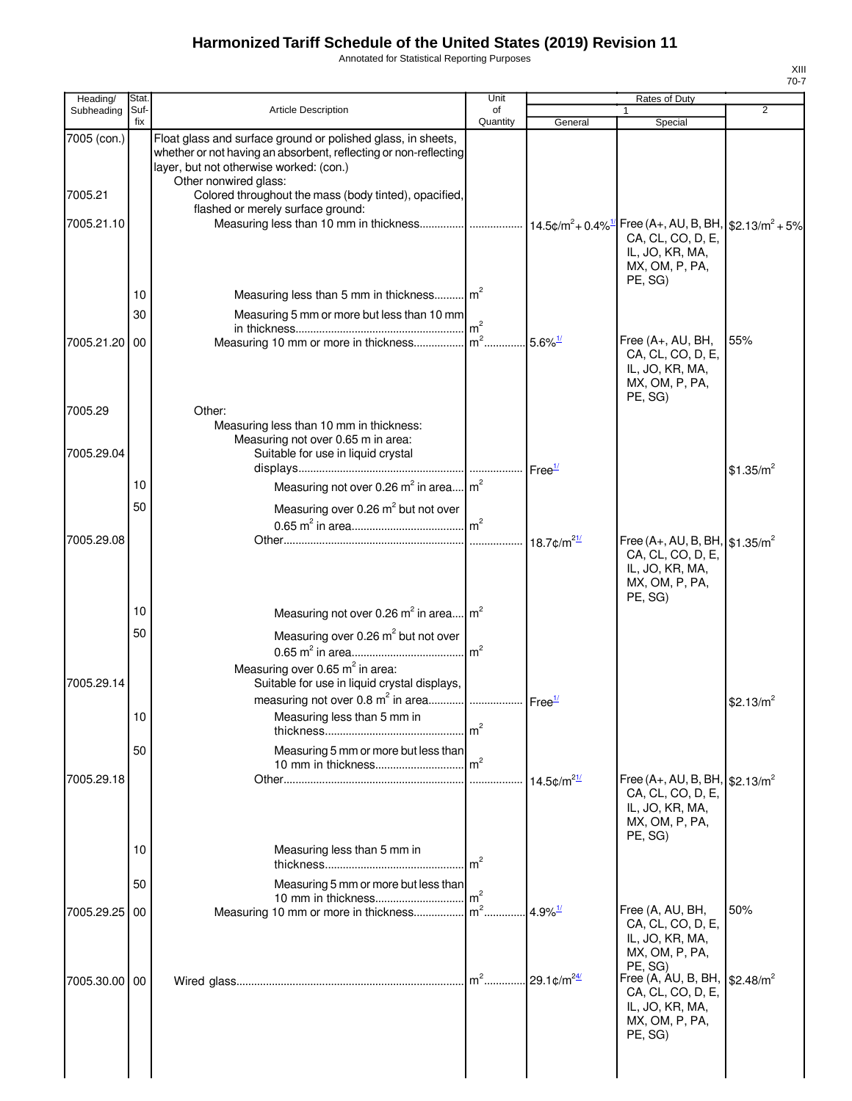Annotated for Statistical Reporting Purposes

| Heading/               | Stat.       |                                                                                                                                                                                                                                                               | Unit            |                           | <b>Rates of Duty</b>                                                                                                                                          |                       |
|------------------------|-------------|---------------------------------------------------------------------------------------------------------------------------------------------------------------------------------------------------------------------------------------------------------------|-----------------|---------------------------|---------------------------------------------------------------------------------------------------------------------------------------------------------------|-----------------------|
| Subheading             | Suf-<br>fix | <b>Article Description</b>                                                                                                                                                                                                                                    | of<br>Quantity  | General                   | $\mathbf{1}$<br>Special                                                                                                                                       | 2                     |
| 7005 (con.)<br>7005.21 |             | Float glass and surface ground or polished glass, in sheets,<br>whether or not having an absorbent, reflecting or non-reflecting<br>layer, but not otherwise worked: (con.)<br>Other nonwired glass:<br>Colored throughout the mass (body tinted), opacified, |                 |                           |                                                                                                                                                               |                       |
|                        |             | flashed or merely surface ground:                                                                                                                                                                                                                             |                 |                           |                                                                                                                                                               |                       |
| 7005.21.10             |             | Measuring less than 10 mm in thickness   14.5¢/m <sup>2</sup> + 0.4% <sup>1/</sup>   Free (A+, AU, B, BH,   \$2.13/m <sup>2</sup> + 5%                                                                                                                        |                 |                           | CA, CL, CO, D, E,<br>IL, JO, KR, MA,<br>MX, OM, P, PA,<br>PE, SG)                                                                                             |                       |
|                        | 10          | Measuring less than 5 mm in thickness m <sup>2</sup>                                                                                                                                                                                                          |                 |                           |                                                                                                                                                               |                       |
|                        | 30          | Measuring 5 mm or more but less than 10 mm                                                                                                                                                                                                                    | $\mathsf{Im}^2$ |                           |                                                                                                                                                               |                       |
| 7005.21.20 00          |             |                                                                                                                                                                                                                                                               |                 |                           | Free (A+, AU, BH,<br>CA, CL, CO, D, E,<br>IL, JO, KR, MA,<br>MX, OM, P, PA,<br>PE, SG)                                                                        | 55%                   |
| 7005.29                |             | Other:<br>Measuring less than 10 mm in thickness:                                                                                                                                                                                                             |                 |                           |                                                                                                                                                               |                       |
| 7005.29.04             |             | Measuring not over 0.65 m in area:<br>Suitable for use in liquid crystal                                                                                                                                                                                      |                 | Free <sup>1/</sup>        |                                                                                                                                                               | \$1.35/m <sup>2</sup> |
|                        | 10          | Measuring not over 0.26 $m^2$ in area $m^2$                                                                                                                                                                                                                   |                 |                           |                                                                                                                                                               |                       |
|                        | 50          | Measuring over 0.26 m <sup>2</sup> but not over                                                                                                                                                                                                               |                 |                           |                                                                                                                                                               |                       |
|                        |             |                                                                                                                                                                                                                                                               |                 |                           |                                                                                                                                                               |                       |
| 7005.29.08             |             |                                                                                                                                                                                                                                                               |                 | 18.7 $\frac{m^2}{l}$      | Free (A+, AU, B, BH, $$1.35/m^2$<br>CA, CL, CO, D, E,<br>IL, JO, KR, MA,<br>MX, OM, P, PA,<br>PE, SG)                                                         |                       |
|                        | 10          | Measuring not over 0.26 m <sup>2</sup> in area m <sup>2</sup>                                                                                                                                                                                                 |                 |                           |                                                                                                                                                               |                       |
|                        | 50          | Measuring over 0.26 m <sup>2</sup> but not over                                                                                                                                                                                                               |                 |                           |                                                                                                                                                               |                       |
|                        |             |                                                                                                                                                                                                                                                               |                 |                           |                                                                                                                                                               |                       |
| 7005.29.14             |             | Measuring over 0.65 $m^2$ in area:<br>Suitable for use in liquid crystal displays,                                                                                                                                                                            |                 |                           |                                                                                                                                                               |                       |
|                        | 10          | measuring not over 0.8 m <sup>2</sup> in area  Free <sup>1/</sup><br>Measuring less than 5 mm in                                                                                                                                                              |                 |                           |                                                                                                                                                               | \$2.13/ $m^2$         |
|                        | 50          | Measuring 5 mm or more but less than                                                                                                                                                                                                                          |                 |                           |                                                                                                                                                               |                       |
| 7005.29.18             |             |                                                                                                                                                                                                                                                               |                 | 14.5 $\frac{m^{21}}{2}$   | Free (A+, AU, B, BH, $$2.13/m^2$<br>CA, CL, CO, D, E,<br>IL, JO, KR, MA,<br>MX, OM, P, PA,<br>PE, SG)                                                         |                       |
|                        | 10          | Measuring less than 5 mm in                                                                                                                                                                                                                                   | $\text{Im}^2$   |                           |                                                                                                                                                               |                       |
|                        | 50          | Measuring 5 mm or more but less than                                                                                                                                                                                                                          |                 |                           |                                                                                                                                                               |                       |
| 7005.29.25 00          |             | Measuring 10 mm or more in thickness m <sup>2</sup>                                                                                                                                                                                                           |                 | $4.9\%$ <sup>1/</sup>     | Free (A, AU, BH,                                                                                                                                              | 50%                   |
| 7005.30.00 00          |             |                                                                                                                                                                                                                                                               | $m^2$           | . 29.1 $\frac{m^{24}}{2}$ | CA, CL, CO, D, E,<br>IL, JO, KR, MA,<br>MX, OM, P, PA,<br>PE, SG)<br>Free (A, AU, B, BH,<br>CA, CL, CO, D, E,<br>IL, JO, KR, MA,<br>MX, OM, P, PA,<br>PE, SG) | \$2.48/m <sup>2</sup> |
|                        |             |                                                                                                                                                                                                                                                               |                 |                           |                                                                                                                                                               |                       |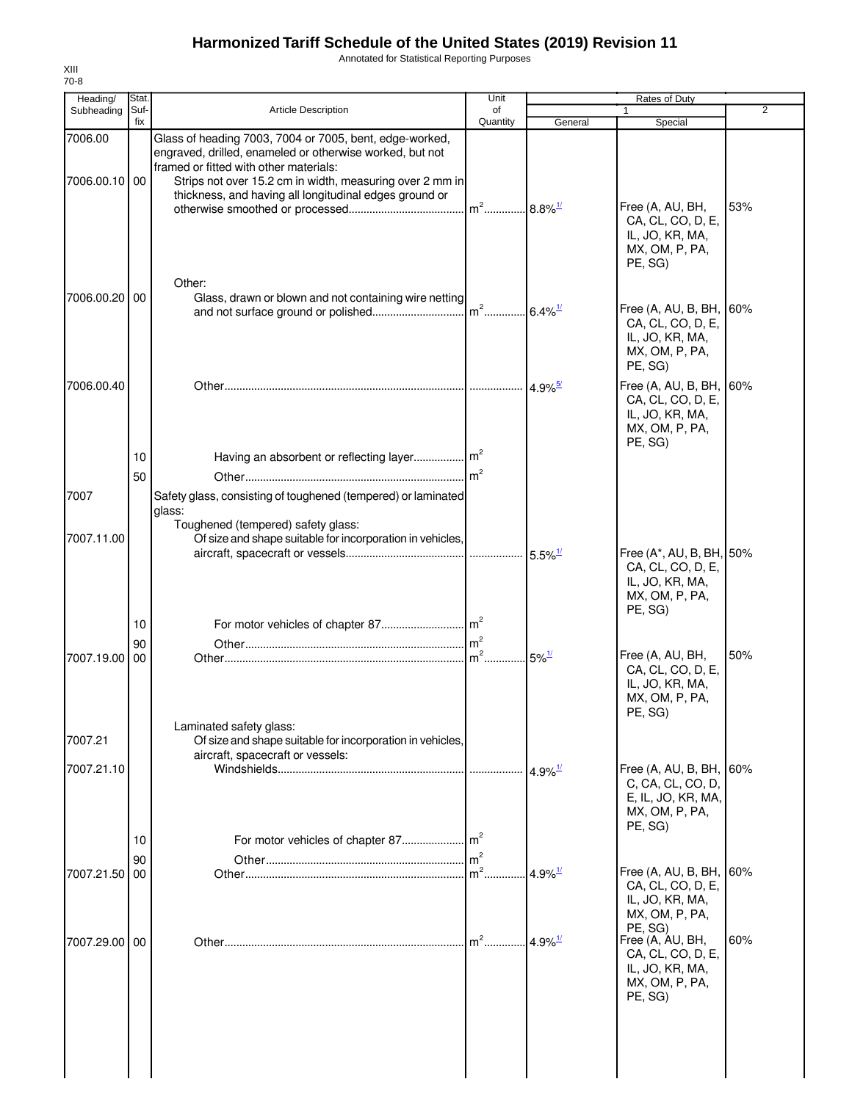Annotated for Statistical Reporting Purposes

| Heading/                 | Stat.       |                                                                                                                                                                                                                                                                                     | Unit                              |                       | Rates of Duty                                                                                    |                |
|--------------------------|-------------|-------------------------------------------------------------------------------------------------------------------------------------------------------------------------------------------------------------------------------------------------------------------------------------|-----------------------------------|-----------------------|--------------------------------------------------------------------------------------------------|----------------|
| Subheading               | Suf-<br>fix | <b>Article Description</b>                                                                                                                                                                                                                                                          | of<br>Quantity                    | General               | 1<br>Special                                                                                     | $\overline{2}$ |
| 7006.00<br>7006.00.10 00 |             | Glass of heading 7003, 7004 or 7005, bent, edge-worked,<br>engraved, drilled, enameled or otherwise worked, but not<br>framed or fitted with other materials:<br>Strips not over 15.2 cm in width, measuring over 2 mm in<br>thickness, and having all longitudinal edges ground or | m <sup>2</sup> 8.8% <sup>1/</sup> |                       | Free (A, AU, BH,<br>CA, CL, CO, D, E,<br>IL, JO, KR, MA,<br>MX, OM, P, PA,<br>PE, SG)            | 53%            |
| 7006.00.20 00            |             | Other:<br>Glass, drawn or blown and not containing wire netting                                                                                                                                                                                                                     |                                   |                       | Free (A, AU, B, BH,<br>CA, CL, CO, D, E,<br>IL, JO, KR, MA,<br>MX, OM, P, PA,<br>PE, SG)         | 60%            |
| 7006.00.40               | 10          | Having an absorbent or reflecting layer m <sup>2</sup>                                                                                                                                                                                                                              |                                   | $4.9\%$ <sup>5/</sup> | Free (A, AU, B, BH, 60%<br>CA, CL, CO, D, E,<br>IL, JO, KR, MA,<br>MX, OM, P, PA,<br>PE, SG)     |                |
| 7007                     | 50          | Safety glass, consisting of toughened (tempered) or laminated<br>glass:<br>Toughened (tempered) safety glass:                                                                                                                                                                       |                                   |                       |                                                                                                  |                |
| 7007.11.00               | 10          | Of size and shape suitable for incorporation in vehicles,                                                                                                                                                                                                                           |                                   | $5.5\%$ <sup>1/</sup> | Free (A*, AU, B, BH, 50%<br>CA, CL, CO, D, E,<br>IL, JO, KR, MA,<br>MX, OM, P, PA,<br>PE, SG)    |                |
| 7007.19.00               | 90<br>00    | Laminated safety glass:                                                                                                                                                                                                                                                             | m <sup>2</sup><br>$m2$ .          | $5\%$ <sup>1/</sup>   | Free (A, AU, BH,<br>CA, CL, CO, D, E,<br>IL, JO, KR, MA,<br>MX, OM, P, PA,<br>PE, SG)            | 50%            |
| 7007.21<br>7007.21.10    | 10          | Of size and shape suitable for incorporation in vehicles,<br>aircraft, spacecraft or vessels:<br>For motor vehicles of chapter 87                                                                                                                                                   | m <sup>2</sup>                    | $4.9\%$ <sup>1/</sup> | Free (A, AU, B, BH, 60%<br>C, CA, CL, CO, D,<br>E, IL, JO, KR, MA,<br>MX, OM, P, PA,<br>PE, SG)  |                |
| 7007.21.50               | 90<br>00    |                                                                                                                                                                                                                                                                                     | $\mathsf{Im}^2$<br>m <sup>2</sup> | $4.9\%$ <sup>1/</sup> | Free $(A, AU, B, BH,$<br>CA, CL, CO, D, E,<br>IL, JO, KR, MA,<br>MX, OM, P, PA,                  | 60%            |
| 7007.29.00               | 00          |                                                                                                                                                                                                                                                                                     | $m2$                              | $4.9\%$ <sup>1/</sup> | PE, SG)<br>Free (A, AU, BH,<br>CA, CL, CO, D, E,<br>IL, JO, KR, MA,<br>MX, OM, P, PA,<br>PE, SG) | 60%            |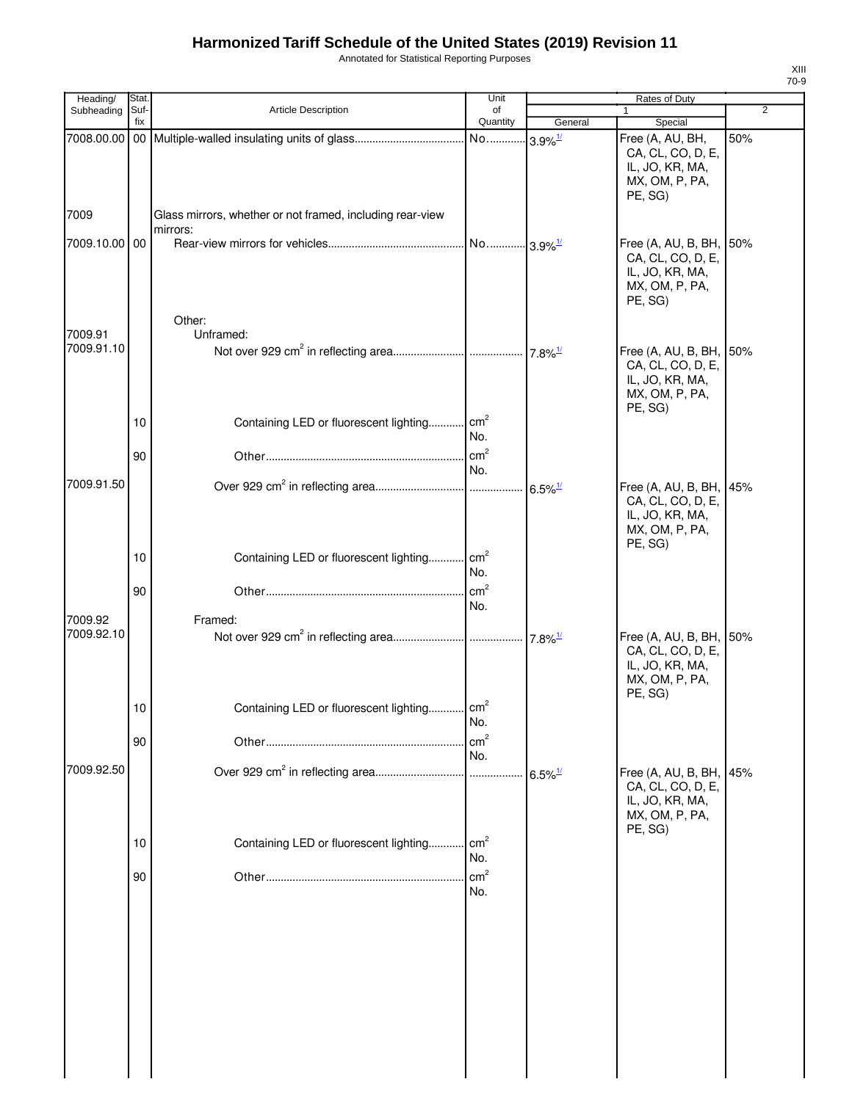Annotated for Statistical Reporting Purposes

| Heading/      | Stat.       |                                                                       | Unit                   |                                             | Rates of Duty                                                                                |                |
|---------------|-------------|-----------------------------------------------------------------------|------------------------|---------------------------------------------|----------------------------------------------------------------------------------------------|----------------|
| Subheading    | Suf-<br>fix | Article Description                                                   | of<br>Quantity         | General                                     | 1<br>Special                                                                                 | $\overline{2}$ |
|               |             |                                                                       | No                     | $3.9\%$ <sup><math>\frac{1}{2}</math></sup> | Free (A, AU, BH,<br>CA, CL, CO, D, E,<br>IL, JO, KR, MA,<br>MX, OM, P, PA,<br>PE, SG)        | 50%            |
| 7009          |             | Glass mirrors, whether or not framed, including rear-view<br>mirrors: |                        |                                             |                                                                                              |                |
| 7009.10.00 00 |             | Other:                                                                |                        |                                             | Free (A, AU, B, BH, 50%<br>CA, CL, CO, D, E,<br>IL, JO, KR, MA,<br>MX, OM, P, PA,<br>PE, SG) |                |
| 7009.91       |             | Unframed:                                                             |                        |                                             |                                                                                              |                |
| 7009.91.10    |             |                                                                       |                        | $7.8\%$ <sup>1/</sup>                       | Free (A, AU, B, BH, 50%<br>CA, CL, CO, D, E,<br>IL, JO, KR, MA,<br>MX, OM, P, PA,<br>PE, SG) |                |
|               | 10          | Containing LED or fluorescent lighting cm <sup>2</sup>                | No.                    |                                             |                                                                                              |                |
|               | 90          |                                                                       | $\text{cm}^2$<br>No.   |                                             |                                                                                              |                |
| 7009.91.50    |             |                                                                       |                        | $6.5\%$ <sup>1/</sup>                       | Free (A, AU, B, BH, 45%<br>CA, CL, CO, D, E,<br>IL, JO, KR, MA,<br>MX, OM, P, PA,<br>PE, SG) |                |
|               | 10          | Containing LED or fluorescent lighting                                | $\text{cm}^2$<br>No.   |                                             |                                                                                              |                |
|               | 90          |                                                                       | cm <sup>2</sup><br>No. |                                             |                                                                                              |                |
| 7009.92       |             | Framed:                                                               |                        |                                             |                                                                                              |                |
| 7009.92.10    |             |                                                                       |                        | $17.8\%$ <sup>1/</sup>                      | Free (A, AU, B, BH, 50%<br>CA, CL, CO, D, E,<br>IL, JO, KR, MA,<br>MX, OM, P, PA,<br>PE, SG) |                |
|               | 10          | Containing LED or fluorescent lighting cm <sup>2</sup>                | No.                    |                                             |                                                                                              |                |
|               | 90          |                                                                       | cm <sup>2</sup><br>No. |                                             |                                                                                              |                |
| 7009.92.50    |             |                                                                       |                        | $6.5\%$ <sup>1/</sup>                       | Free (A, AU, B, BH, 45%                                                                      |                |
|               |             |                                                                       |                        |                                             | CA, CL, CO, D, E,<br>IL, JO, KR, MA,<br>MX, OM, P, PA,<br>PE, SG)                            |                |
|               | 10          | Containing LED or fluorescent lighting                                | $\text{cm}^2$<br>No.   |                                             |                                                                                              |                |
|               | 90          |                                                                       | cm <sup>2</sup><br>No. |                                             |                                                                                              |                |
|               |             |                                                                       |                        |                                             |                                                                                              |                |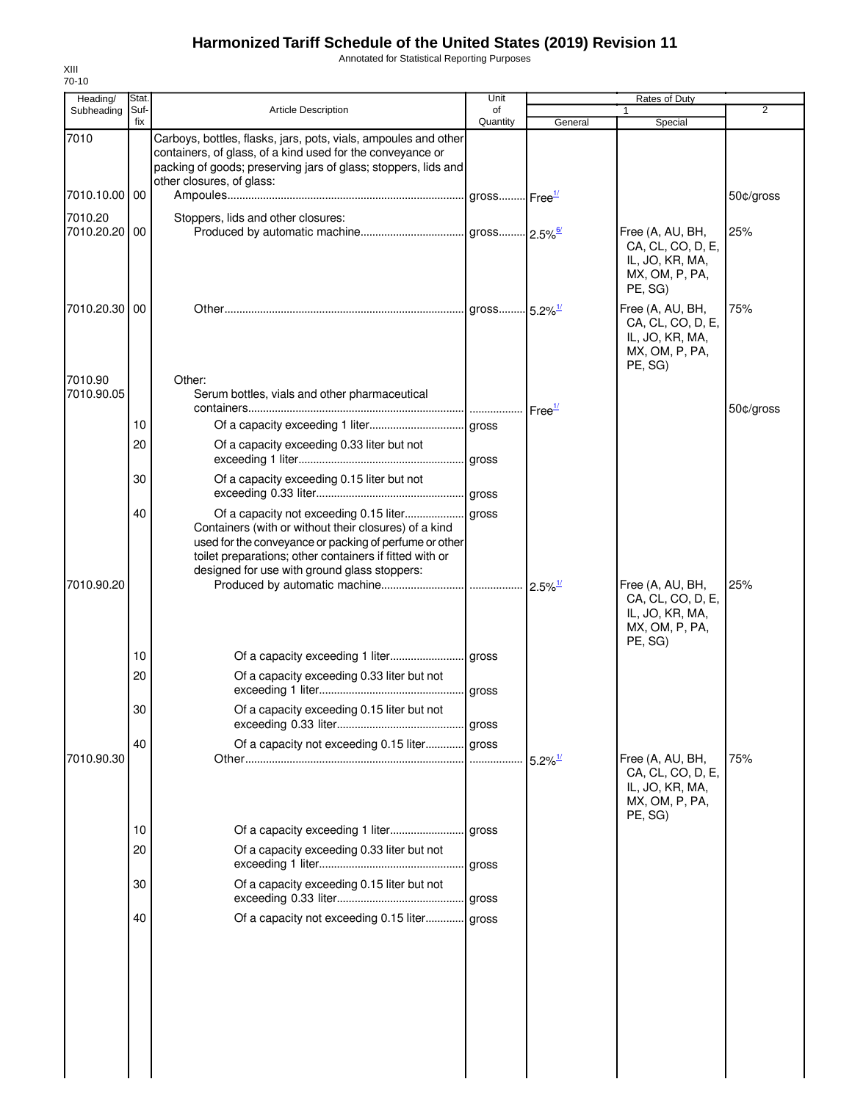Annotated for Statistical Reporting Purposes

| Heading/                 | Stat.       |                                                                                                                                                                                                                              | Unit           |                       | Rates of Duty                                                                         |           |
|--------------------------|-------------|------------------------------------------------------------------------------------------------------------------------------------------------------------------------------------------------------------------------------|----------------|-----------------------|---------------------------------------------------------------------------------------|-----------|
| Subheading               | Suf-<br>fix | <b>Article Description</b>                                                                                                                                                                                                   | of<br>Quantity | General               | 1<br>Special                                                                          | 2         |
| 7010                     |             | Carboys, bottles, flasks, jars, pots, vials, ampoules and other<br>containers, of glass, of a kind used for the conveyance or<br>packing of goods; preserving jars of glass; stoppers, lids and<br>other closures, of glass: |                |                       |                                                                                       |           |
| 7010.10.00   00          |             |                                                                                                                                                                                                                              |                |                       |                                                                                       | 50¢/gross |
| 7010.20<br>7010.20.20 00 |             | Stoppers, lids and other closures:                                                                                                                                                                                           |                |                       | Free (A, AU, BH,<br>CA, CL, CO, D, E,<br>IL, JO, KR, MA,<br>MX, OM, P, PA,<br>PE, SG) | 25%       |
| 7010.20.30 00            |             |                                                                                                                                                                                                                              |                |                       | Free (A, AU, BH,<br>CA, CL, CO, D, E,<br>IL, JO, KR, MA,<br>MX, OM, P, PA,<br>PE, SG) | 75%       |
| 7010.90<br>7010.90.05    |             | Other:<br>Serum bottles, vials and other pharmaceutical                                                                                                                                                                      |                |                       |                                                                                       |           |
|                          | 10          |                                                                                                                                                                                                                              |                |                       |                                                                                       | 50¢/gross |
|                          | 20          | Of a capacity exceeding 0.33 liter but not                                                                                                                                                                                   |                |                       |                                                                                       |           |
|                          | 30          | Of a capacity exceeding 0.15 liter but not                                                                                                                                                                                   |                |                       |                                                                                       |           |
|                          | 40          | Containers (with or without their closures) of a kind<br>used for the conveyance or packing of perfume or other<br>toilet preparations; other containers if fitted with or<br>designed for use with ground glass stoppers:   |                |                       |                                                                                       |           |
| 7010.90.20               |             |                                                                                                                                                                                                                              |                |                       | Free (A, AU, BH,<br>CA, CL, CO, D, E,<br>IL, JO, KR, MA,<br>MX, OM, P, PA,<br>PE, SG) | 25%       |
|                          | 10          |                                                                                                                                                                                                                              |                |                       |                                                                                       |           |
|                          | 20          | Of a capacity exceeding 0.33 liter but not                                                                                                                                                                                   |                |                       |                                                                                       |           |
|                          | 30          | Of a capacity exceeding 0.15 liter but not                                                                                                                                                                                   |                |                       |                                                                                       |           |
| 7010.90.30               | 40          | Of a capacity not exceeding 0.15 liter gross                                                                                                                                                                                 |                | $5.2\%$ <sup>1/</sup> | Free (A, AU, BH,<br>CA, CL, CO, D, E,<br>IL, JO, KR, MA,<br>MX, OM, P, PA,            | 75%       |
|                          | 10          |                                                                                                                                                                                                                              |                |                       | PE, SG)                                                                               |           |
|                          | 20          | Of a capacity exceeding 0.33 liter but not                                                                                                                                                                                   |                |                       |                                                                                       |           |
|                          | 30          | Of a capacity exceeding 0.15 liter but not                                                                                                                                                                                   | gross          |                       |                                                                                       |           |
|                          | 40          | Of a capacity not exceeding 0.15 liter gross                                                                                                                                                                                 |                |                       |                                                                                       |           |
|                          |             |                                                                                                                                                                                                                              |                |                       |                                                                                       |           |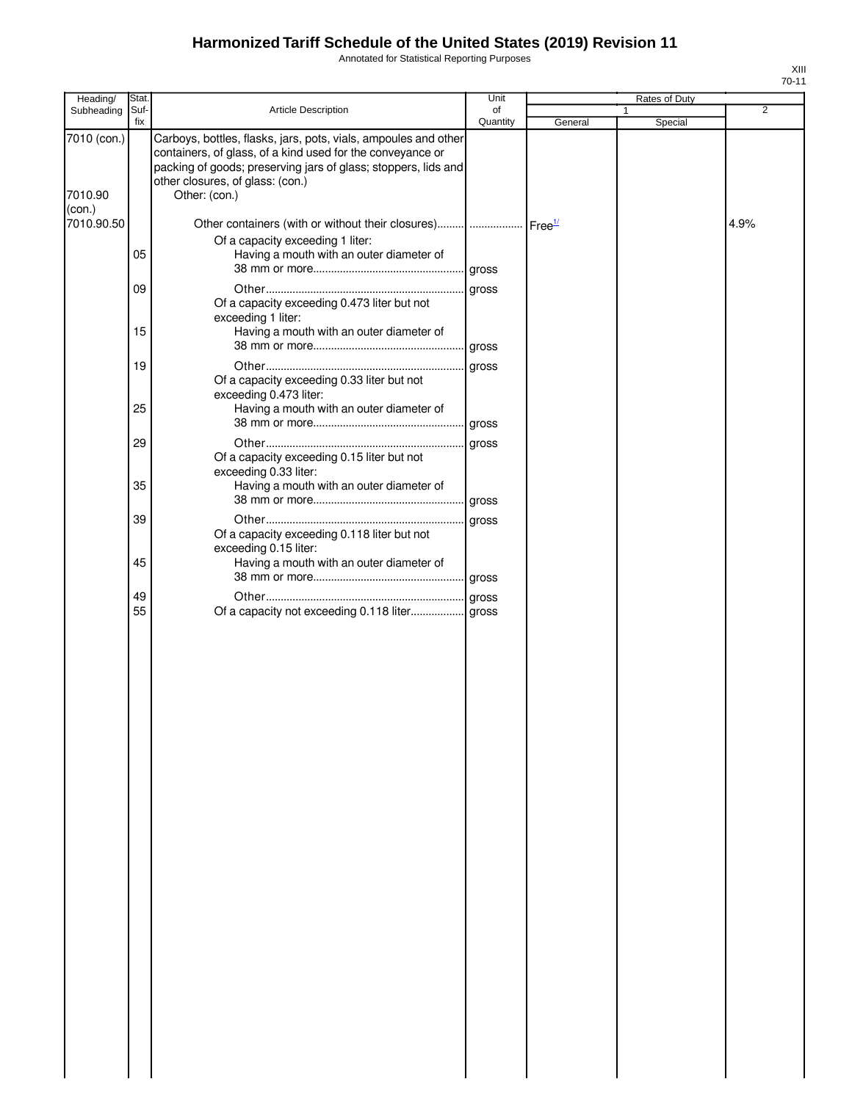Annotated for Statistical Reporting Purposes

| Heading/               | Stat.       |                                                                                                                                                                                                                                                      | Unit           |         | Rates of Duty |                |
|------------------------|-------------|------------------------------------------------------------------------------------------------------------------------------------------------------------------------------------------------------------------------------------------------------|----------------|---------|---------------|----------------|
| Subheading             | Suf-<br>fix | Article Description                                                                                                                                                                                                                                  | of<br>Quantity | General | Special       | $\overline{2}$ |
| 7010 (con.)<br>7010.90 |             | Carboys, bottles, flasks, jars, pots, vials, ampoules and other<br>containers, of glass, of a kind used for the conveyance or<br>packing of goods; preserving jars of glass; stoppers, lids and<br>other closures, of glass: (con.)<br>Other: (con.) |                |         |               |                |
| (con.)                 |             |                                                                                                                                                                                                                                                      |                |         |               |                |
| 7010.90.50             | 05          | Other containers (with or without their closures)      Free <sup>1/</sup><br>Of a capacity exceeding 1 liter:<br>Having a mouth with an outer diameter of                                                                                            |                |         |               | 4.9%           |
|                        |             |                                                                                                                                                                                                                                                      |                |         |               |                |
|                        | 09<br>15    | Of a capacity exceeding 0.473 liter but not<br>exceeding 1 liter:<br>Having a mouth with an outer diameter of                                                                                                                                        | gross          |         |               |                |
|                        | 19          |                                                                                                                                                                                                                                                      | gross          |         |               |                |
|                        | 25          | Of a capacity exceeding 0.33 liter but not<br>exceeding 0.473 liter:                                                                                                                                                                                 |                |         |               |                |
|                        |             | Having a mouth with an outer diameter of                                                                                                                                                                                                             |                |         |               |                |
|                        | 29          |                                                                                                                                                                                                                                                      | gross          |         |               |                |
|                        |             | Of a capacity exceeding 0.15 liter but not<br>exceeding 0.33 liter:                                                                                                                                                                                  |                |         |               |                |
|                        | 35          | Having a mouth with an outer diameter of                                                                                                                                                                                                             |                |         |               |                |
|                        |             |                                                                                                                                                                                                                                                      |                |         |               |                |
|                        | 39          | Of a capacity exceeding 0.118 liter but not<br>exceeding 0.15 liter:                                                                                                                                                                                 | gross          |         |               |                |
|                        | 45          | Having a mouth with an outer diameter of                                                                                                                                                                                                             |                |         |               |                |
|                        |             |                                                                                                                                                                                                                                                      |                |         |               |                |
|                        | 49<br>55    | Of a capacity not exceeding 0.118 liter gross                                                                                                                                                                                                        |                |         |               |                |
|                        |             |                                                                                                                                                                                                                                                      |                |         |               |                |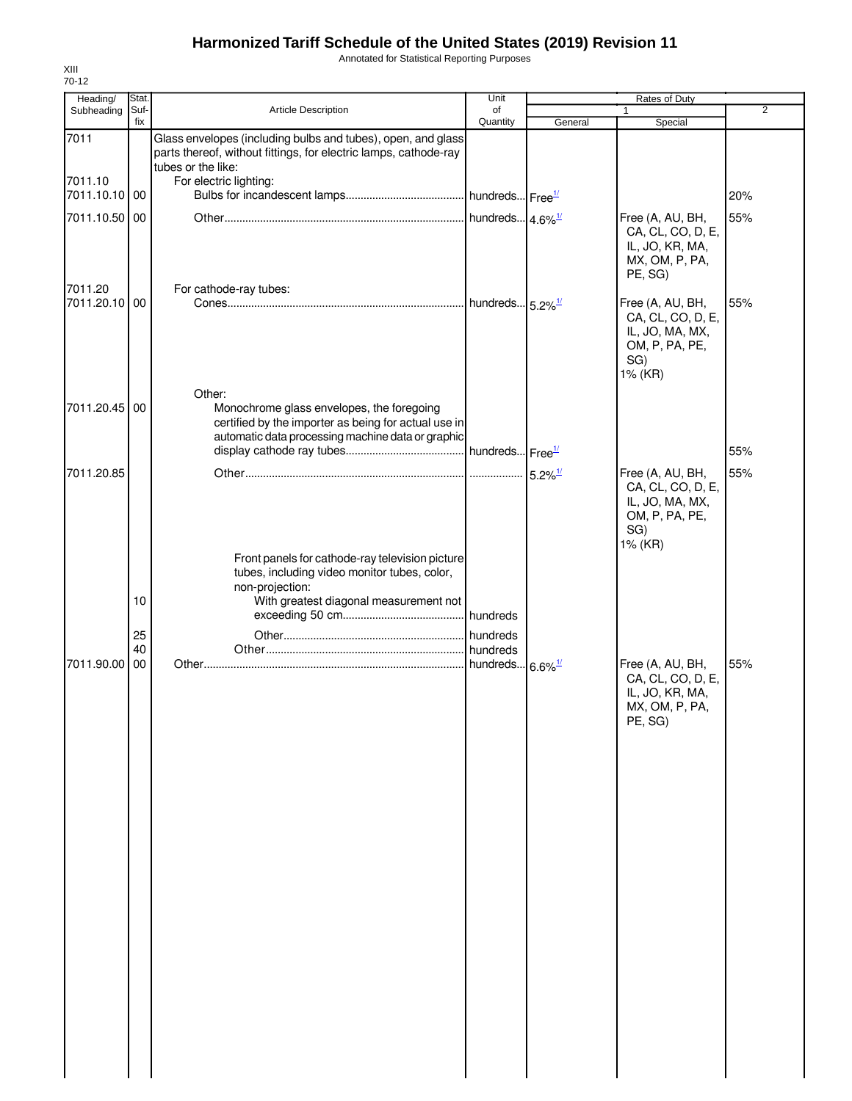Annotated for Statistical Reporting Purposes

| Heading/                 | Stat.                |                                                                                                                                                                  | Unit                                                |                       | Rates of Duty                                                                                |                |
|--------------------------|----------------------|------------------------------------------------------------------------------------------------------------------------------------------------------------------|-----------------------------------------------------|-----------------------|----------------------------------------------------------------------------------------------|----------------|
| Subheading               | Suf-<br>fix          | Article Description                                                                                                                                              | of<br>Quantity                                      | General               | 1<br>Special                                                                                 | $\overline{2}$ |
| 7011                     |                      | Glass envelopes (including bulbs and tubes), open, and glass<br>parts thereof, without fittings, for electric lamps, cathode-ray<br>tubes or the like:           |                                                     |                       |                                                                                              |                |
| 7011.10<br>7011.10.10    | 00                   | For electric lighting:                                                                                                                                           |                                                     |                       |                                                                                              | 20%            |
| 7011.10.50 00            |                      |                                                                                                                                                                  |                                                     |                       | Free (A, AU, BH,<br>CA, CL, CO, D, E,<br>IL, JO, KR, MA,<br>MX, OM, P, PA,<br>PE, SG)        | 55%            |
| 7011.20<br>7011.20.10 00 |                      | For cathode-ray tubes:                                                                                                                                           |                                                     |                       | Free (A, AU, BH,<br>CA, CL, CO, D, E,<br>IL, JO, MA, MX,<br>OM, P, PA, PE,<br>SG)<br>1% (KR) | 55%            |
| 7011.20.45 00            |                      | Other:<br>Monochrome glass envelopes, the foregoing<br>certified by the importer as being for actual use in<br>automatic data processing machine data or graphic | . hundreds Free <sup>1/</sup>                       |                       |                                                                                              | 55%            |
| 7011.20.85               |                      |                                                                                                                                                                  |                                                     | $5.2\%$ <sup>1/</sup> | Free (A, AU, BH,<br>CA, CL, CO, D, E,<br>IL, JO, MA, MX,<br>OM, P, PA, PE,<br>SG)<br>1% (KR) | 55%            |
| 7011.90.00               | 10<br>25<br>40<br>00 | Front panels for cathode-ray television picture<br>tubes, including video monitor tubes, color,<br>non-projection:<br>With greatest diagonal measurement not     | hundreds<br>hundreds<br>hundreds 6.6% <sup>1/</sup> |                       | Free (A, AU, BH,<br>CA, CL, CO, D, E,<br>IL, JO, KR, MA,<br>MX, OM, P, PA,<br>PE, SG)        | 55%            |
|                          |                      |                                                                                                                                                                  |                                                     |                       |                                                                                              |                |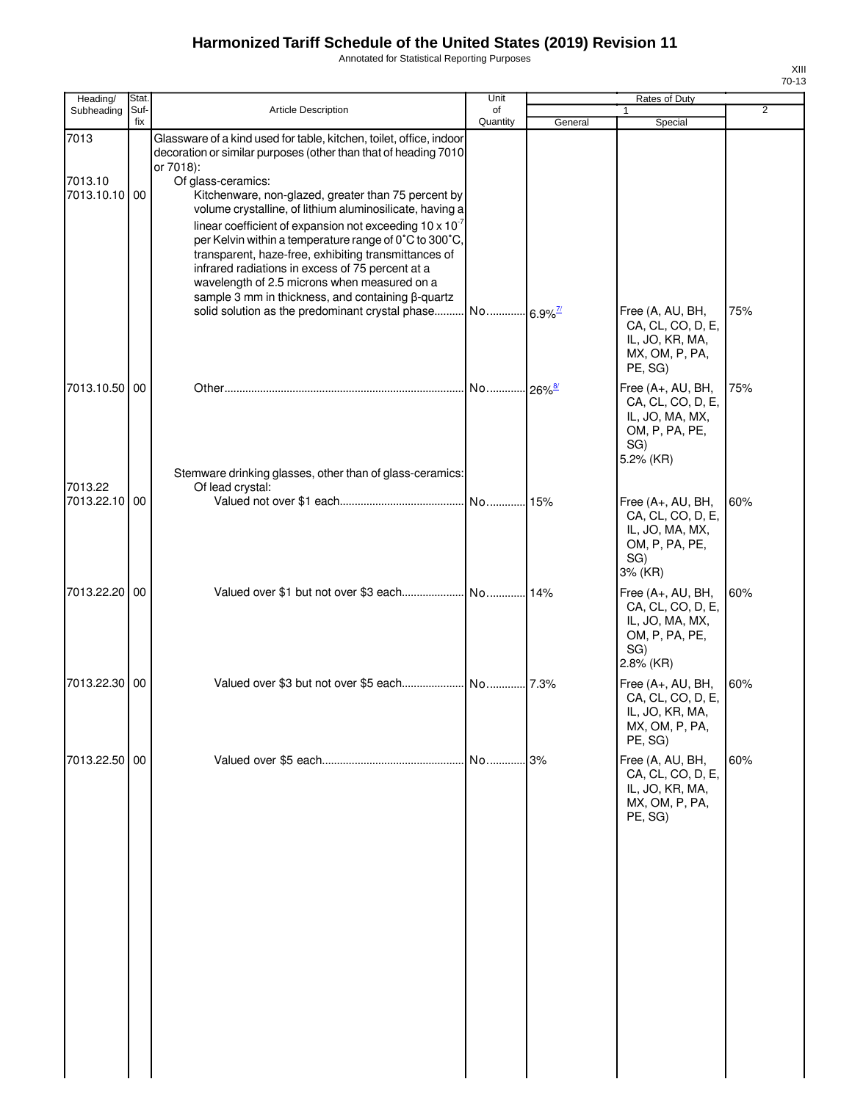Annotated for Statistical Reporting Purposes

| ۰, |  |
|----|--|

| Heading/      | Stat. |                                                                                                                                        | Unit                   |         | Rates of Duty                                                              |     |
|---------------|-------|----------------------------------------------------------------------------------------------------------------------------------------|------------------------|---------|----------------------------------------------------------------------------|-----|
| Subheading    | Suf-  | Article Description                                                                                                                    | of                     |         |                                                                            | 2   |
| 7013          | fix   | Glassware of a kind used for table, kitchen, toilet, office, indoor<br>decoration or similar purposes (other than that of heading 7010 | Quantity               | General | Special                                                                    |     |
|               |       | or 7018):                                                                                                                              |                        |         |                                                                            |     |
| 7013.10       |       | Of glass-ceramics:                                                                                                                     |                        |         |                                                                            |     |
| 7013.10.10 00 |       | Kitchenware, non-glazed, greater than 75 percent by<br>volume crystalline, of lithium aluminosilicate, having a                        |                        |         |                                                                            |     |
|               |       | linear coefficient of expansion not exceeding $10 \times 10^{-7}$                                                                      |                        |         |                                                                            |     |
|               |       | per Kelvin within a temperature range of 0°C to 300°C,                                                                                 |                        |         |                                                                            |     |
|               |       | transparent, haze-free, exhibiting transmittances of<br>infrared radiations in excess of 75 percent at a                               |                        |         |                                                                            |     |
|               |       | wavelength of 2.5 microns when measured on a                                                                                           |                        |         |                                                                            |     |
|               |       | sample 3 mm in thickness, and containing β-quartz                                                                                      |                        |         |                                                                            |     |
|               |       | solid solution as the predominant crystal phase                                                                                        | No 6.9% <sup>7/1</sup> |         | Free (A, AU, BH,                                                           | 75% |
|               |       |                                                                                                                                        |                        |         | CA, CL, CO, D, E,<br>IL, JO, KR, MA,<br>MX, OM, P, PA,<br>PE, SG)          |     |
| 7013.10.50 00 |       |                                                                                                                                        | No                     | $-26\%$ | Free (A+, AU, BH,                                                          | 75% |
|               |       |                                                                                                                                        |                        |         | CA, CL, CO, D, E,<br>IL, JO, MA, MX,<br>OM, P, PA, PE,<br>SG)<br>5.2% (KR) |     |
| 7013.22       |       | Stemware drinking glasses, other than of glass-ceramics:                                                                               |                        |         |                                                                            |     |
| 7013.22.10 00 |       | Of lead crystal:                                                                                                                       | No                     | .15%    | Free (A+, AU, BH,                                                          | 60% |
|               |       |                                                                                                                                        |                        |         | CA, CL, CO, D, E,<br>IL, JO, MA, MX,<br>OM, P, PA, PE,<br>SG)<br>3% (KR)   |     |
| 7013.22.20 00 |       |                                                                                                                                        |                        | 14%     | Free (A+, AU, BH,                                                          | 60% |
|               |       |                                                                                                                                        |                        |         | CA, CL, CO, D, E,<br>IL, JO, MA, MX,<br>OM, P, PA, PE,<br>SG)<br>2.8% (KR) |     |
| 7013.22.30 00 |       |                                                                                                                                        |                        |         | Free (A+, AU, BH,                                                          | 60% |
|               |       |                                                                                                                                        |                        |         | CA, CL, CO, D, E,<br>IL, JO, KR, MA,<br>MX, OM, P, PA,<br>PE, SG)          |     |
| 7013.22.50 00 |       |                                                                                                                                        | No                     | .3%     | Free (A, AU, BH,                                                           | 60% |
|               |       |                                                                                                                                        |                        |         | CA, CL, CO, D, E,<br>IL, JO, KR, MA,<br>MX, OM, P, PA,<br>PE, SG)          |     |
|               |       |                                                                                                                                        |                        |         |                                                                            |     |
|               |       |                                                                                                                                        |                        |         |                                                                            |     |
|               |       |                                                                                                                                        |                        |         |                                                                            |     |
|               |       |                                                                                                                                        |                        |         |                                                                            |     |
|               |       |                                                                                                                                        |                        |         |                                                                            |     |
|               |       |                                                                                                                                        |                        |         |                                                                            |     |
|               |       |                                                                                                                                        |                        |         |                                                                            |     |
|               |       |                                                                                                                                        |                        |         |                                                                            |     |
|               |       |                                                                                                                                        |                        |         |                                                                            |     |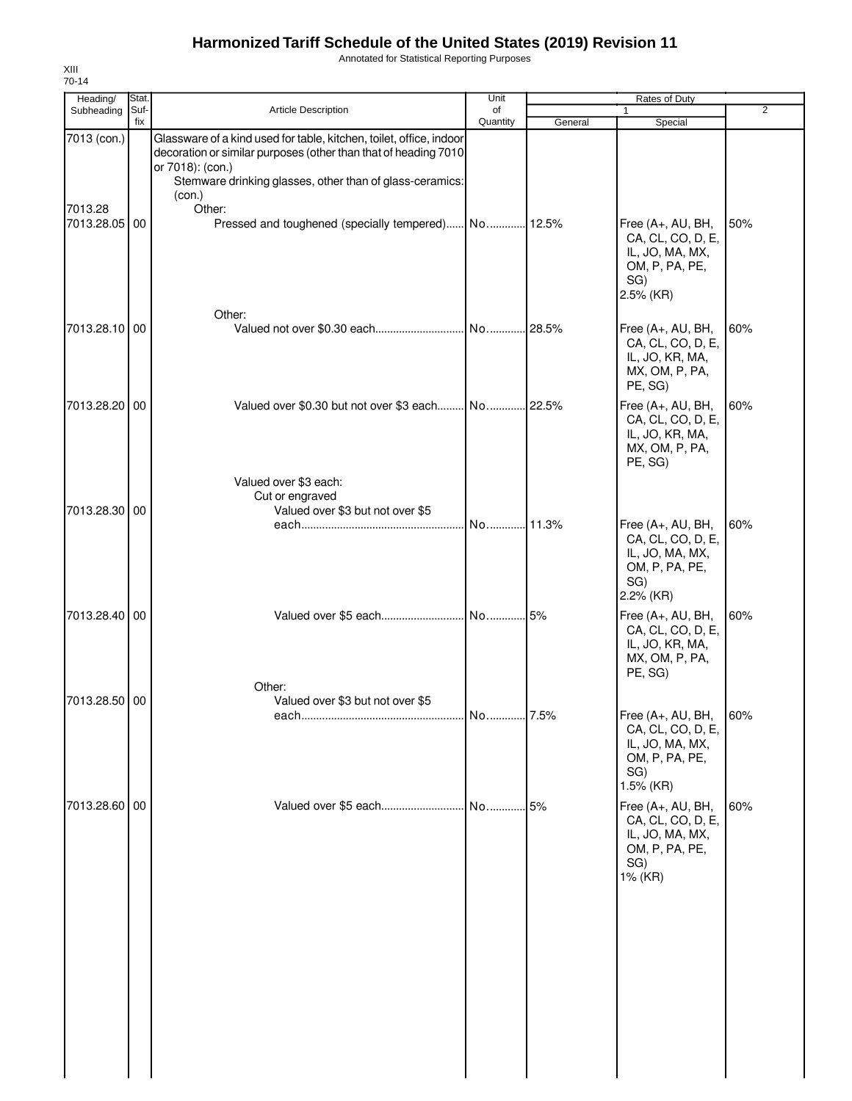Annotated for Statistical Reporting Purposes

| Heading/                 | Stat.       |                                                                                                                                                                                                                                  | Unit           | Rates of Duty |                                                                                                 |                |
|--------------------------|-------------|----------------------------------------------------------------------------------------------------------------------------------------------------------------------------------------------------------------------------------|----------------|---------------|-------------------------------------------------------------------------------------------------|----------------|
| Subheading               | Suf-<br>fix | <b>Article Description</b>                                                                                                                                                                                                       | of<br>Quantity | General       | 1<br>Special                                                                                    | $\overline{2}$ |
| 7013 (con.)              |             | Glassware of a kind used for table, kitchen, toilet, office, indoor<br>decoration or similar purposes (other than that of heading 7010<br>or 7018): (con.)<br>Stemware drinking glasses, other than of glass-ceramics:<br>(con.) |                |               |                                                                                                 |                |
| 7013.28<br>7013.28.05 00 |             | Other:<br>Pressed and toughened (specially tempered) No 12.5%                                                                                                                                                                    |                |               | Free (A+, AU, BH,<br>CA, CL, CO, D, E,<br>IL, JO, MA, MX,<br>OM, P, PA, PE,<br>SG)<br>2.5% (KR) | 50%            |
| 7013.28.10 00            |             | Other:                                                                                                                                                                                                                           | No 28.5%       |               | Free (A+, AU, BH,<br>CA, CL, CO, D, E,<br>IL, JO, KR, MA,<br>MX, OM, P, PA,<br>PE, SG)          | 60%            |
| 7013.28.20 00            |             | Valued over \$0.30 but not over \$3 each<br>Valued over \$3 each:<br>Cut or engraved                                                                                                                                             | No             | .22.5%        | Free (A+, AU, BH,<br>CA, CL, CO, D, E,<br>IL, JO, KR, MA,<br>MX, OM, P, PA,<br>PE, SG)          | 60%            |
| 7013.28.30 00            |             | Valued over \$3 but not over \$5                                                                                                                                                                                                 | No 11.3%       |               | Free (A+, AU, BH,<br>CA, CL, CO, D, E,<br>IL, JO, MA, MX,<br>OM, P, PA, PE,<br>SG)<br>2.2% (KR) | 60%            |
| 7013.28.40 00            |             | Other:                                                                                                                                                                                                                           |                |               | Free (A+, AU, BH,<br>CA, CL, CO, D, E,<br>IL, JO, KR, MA,<br>MX, OM, P, PA,<br>PE, SG)          | 60%            |
| 7013.28.50 00            |             | Valued over \$3 but not over \$5                                                                                                                                                                                                 | . No.  7.5%    |               | Free (A+, AU, BH,<br>CA, CL, CO, D, E,<br>IL, JO, MA, MX,<br>OM, P, PA, PE,<br>SG)<br>1.5% (KR) | 60%            |
| 7013.28.60 00            |             | Valued over \$5 each                                                                                                                                                                                                             | No 5%          |               | Free (A+, AU, BH,<br>CA, CL, CO, D, E,<br>IL, JO, MA, MX,<br>OM, P, PA, PE,<br>SG)<br>1% (KR)   | 60%            |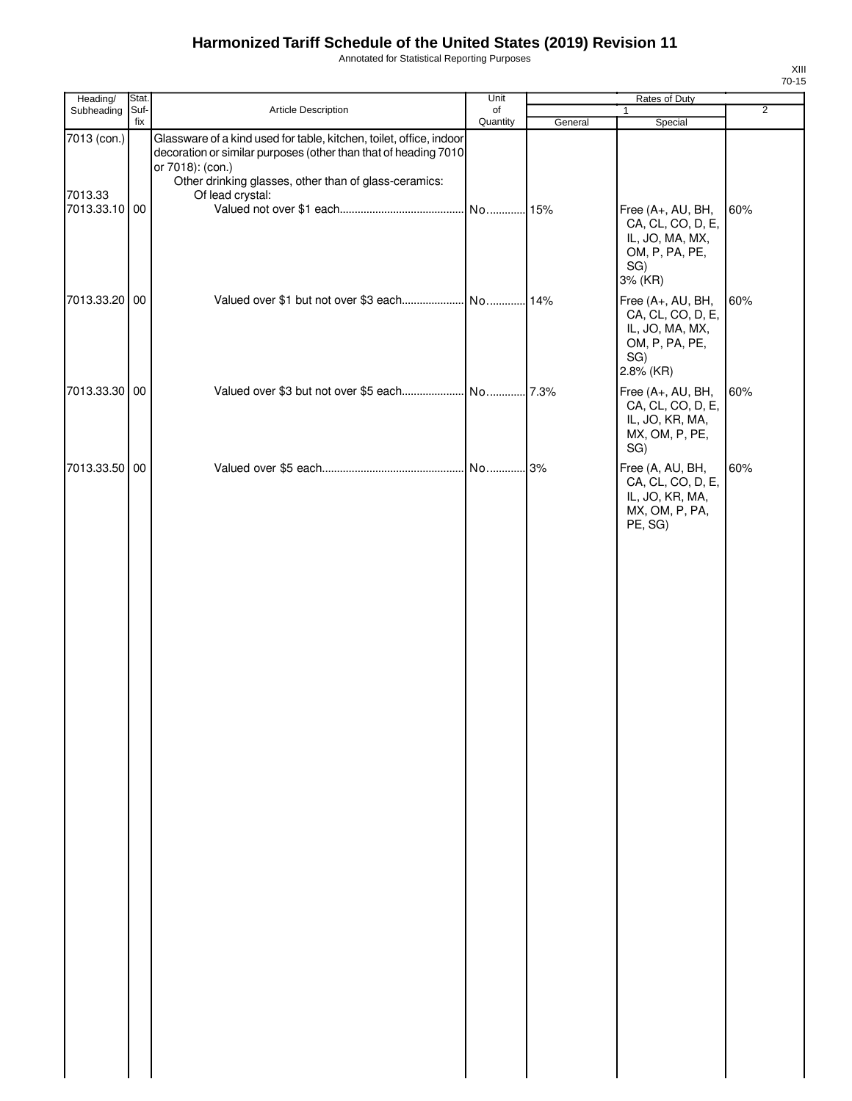Annotated for Statistical Reporting Purposes

| Heading/               | Stat.       |                                                                                                                                                                                                                                         | Unit           | Rates of Duty |                                                                                                 |                |
|------------------------|-------------|-----------------------------------------------------------------------------------------------------------------------------------------------------------------------------------------------------------------------------------------|----------------|---------------|-------------------------------------------------------------------------------------------------|----------------|
| Subheading             | Suf-<br>fix | Article Description                                                                                                                                                                                                                     | of<br>Quantity | General       | 1<br>Special                                                                                    | $\overline{2}$ |
| 7013 (con.)<br>7013.33 |             | Glassware of a kind used for table, kitchen, toilet, office, indoor<br>decoration or similar purposes (other than that of heading 7010<br>or 7018): (con.)<br>Other drinking glasses, other than of glass-ceramics:<br>Of lead crystal: |                |               |                                                                                                 |                |
| 7013.33.10 00          |             |                                                                                                                                                                                                                                         |                |               | Free (A+, AU, BH,<br>CA, CL, CO, D, E,<br>IL, JO, MA, MX,<br>OM, P, PA, PE,<br>SG)<br>3% (KR)   | 60%            |
| 7013.33.20             | 00          |                                                                                                                                                                                                                                         |                |               | Free (A+, AU, BH,<br>CA, CL, CO, D, E,<br>IL, JO, MA, MX,<br>OM, P, PA, PE,<br>SG)<br>2.8% (KR) | 60%            |
| 7013.33.30             | 00          |                                                                                                                                                                                                                                         |                |               | Free (A+, AU, BH,<br>CA, CL, CO, D, E,<br>IL, JO, KR, MA,<br>MX, OM, P, PE,<br>SG)              | 60%            |
| 7013.33.50 00          |             |                                                                                                                                                                                                                                         |                |               | Free (A, AU, BH,<br>CA, CL, CO, D, E,<br>IL, JO, KR, MA,<br>MX, OM, P, PA,<br>PE, SG)           | 60%            |
|                        |             |                                                                                                                                                                                                                                         |                |               |                                                                                                 |                |
|                        |             |                                                                                                                                                                                                                                         |                |               |                                                                                                 |                |
|                        |             |                                                                                                                                                                                                                                         |                |               |                                                                                                 |                |
|                        |             |                                                                                                                                                                                                                                         |                |               |                                                                                                 |                |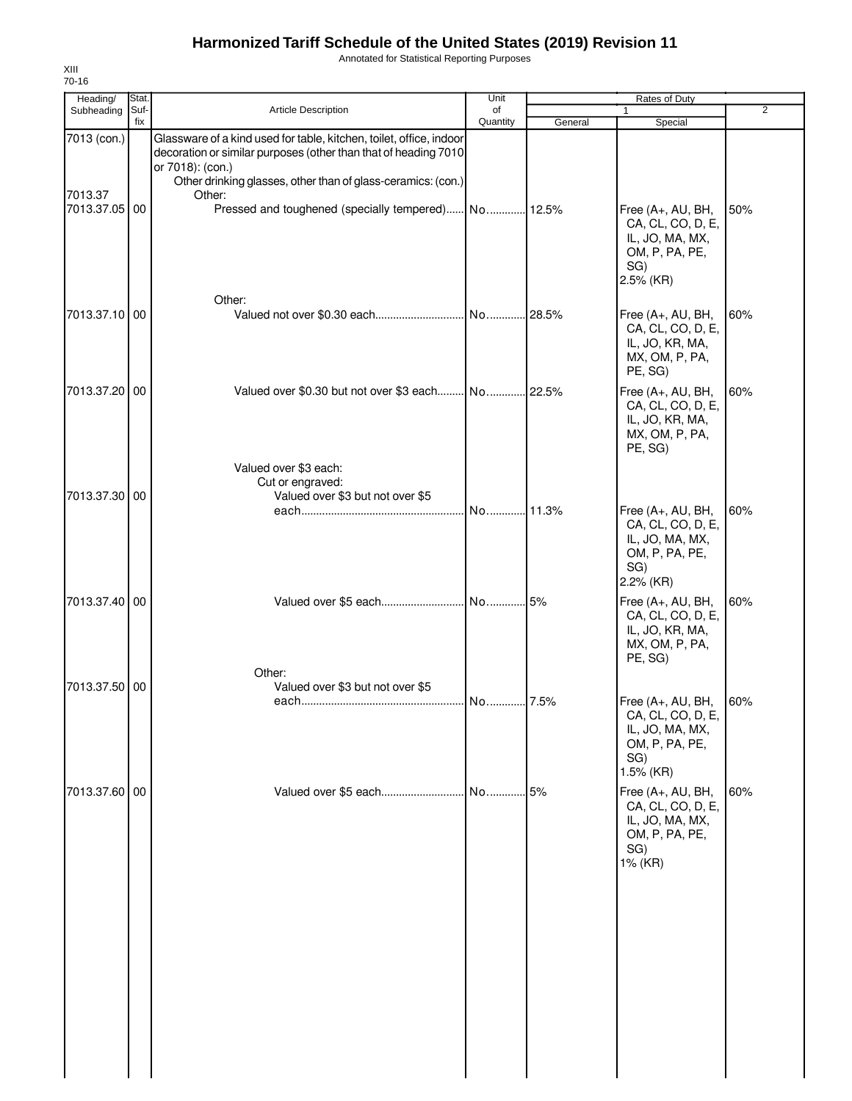Annotated for Statistical Reporting Purposes

| Heading/                 | Stat.       |                                                                                                                                                                                                                            | Unit           | Rates of Duty |                                                                                                 |                |  |
|--------------------------|-------------|----------------------------------------------------------------------------------------------------------------------------------------------------------------------------------------------------------------------------|----------------|---------------|-------------------------------------------------------------------------------------------------|----------------|--|
| Subheading               | Suf-<br>fix | <b>Article Description</b>                                                                                                                                                                                                 | of<br>Quantity |               | 1<br>Special                                                                                    | $\overline{2}$ |  |
| 7013 (con.)              |             | Glassware of a kind used for table, kitchen, toilet, office, indoor<br>decoration or similar purposes (other than that of heading 7010<br>or 7018): (con.)<br>Other drinking glasses, other than of glass-ceramics: (con.) |                | General       |                                                                                                 |                |  |
| 7013.37<br>7013.37.05 00 |             | Other:<br>Pressed and toughened (specially tempered) No 12.5%                                                                                                                                                              |                |               | Free (A+, AU, BH,<br>CA, CL, CO, D, E,<br>IL, JO, MA, MX,<br>OM, P, PA, PE,<br>SG)<br>2.5% (KR) | 50%            |  |
| 7013.37.10 00            |             | Other:                                                                                                                                                                                                                     |                |               | Free (A+, AU, BH,<br>CA, CL, CO, D, E,<br>IL, JO, KR, MA,<br>MX, OM, P, PA,<br>PE, SG)          | 60%            |  |
| 7013.37.20 00            |             | Valued over \$0.30 but not over \$3 each No 22.5%<br>Valued over \$3 each:                                                                                                                                                 |                |               | Free (A+, AU, BH,<br>CA, CL, CO, D, E,<br>IL, JO, KR, MA,<br>MX, OM, P, PA,<br>PE, SG)          | 60%            |  |
| 7013.37.30 00            |             | Cut or engraved:<br>Valued over \$3 but not over \$5                                                                                                                                                                       |                |               | Free (A+, AU, BH,<br>CA, CL, CO, D, E,<br>IL, JO, MA, MX,<br>OM, P, PA, PE,<br>SG)<br>2.2% (KR) | 60%            |  |
| 7013.37.40 00            |             | Valued over \$5 each<br>Other:                                                                                                                                                                                             | No 5%          |               | Free (A+, AU, BH,<br>CA, CL, CO, D, E,<br>IL, JO, KR, MA,<br>MX, OM, P, PA,<br>PE, SG)          | 60%            |  |
| 7013.37.50 00            |             | Valued over \$3 but not over \$5                                                                                                                                                                                           | No 7.5%        |               | Free (A+, AU, BH,<br>CA, CL, CO, D, E,<br>IL, JO, MA, MX,<br>OM, P, PA, PE,<br>SG)<br>1.5% (KR) | 60%            |  |
| 7013.37.60 00            |             | Valued over \$5 each                                                                                                                                                                                                       | No             | .5%           | Free (A+, AU, BH,<br>CA, CL, CO, D, E,<br>IL, JO, MA, MX,<br>OM, P, PA, PE,<br>SG)<br>1% (KR)   | 60%            |  |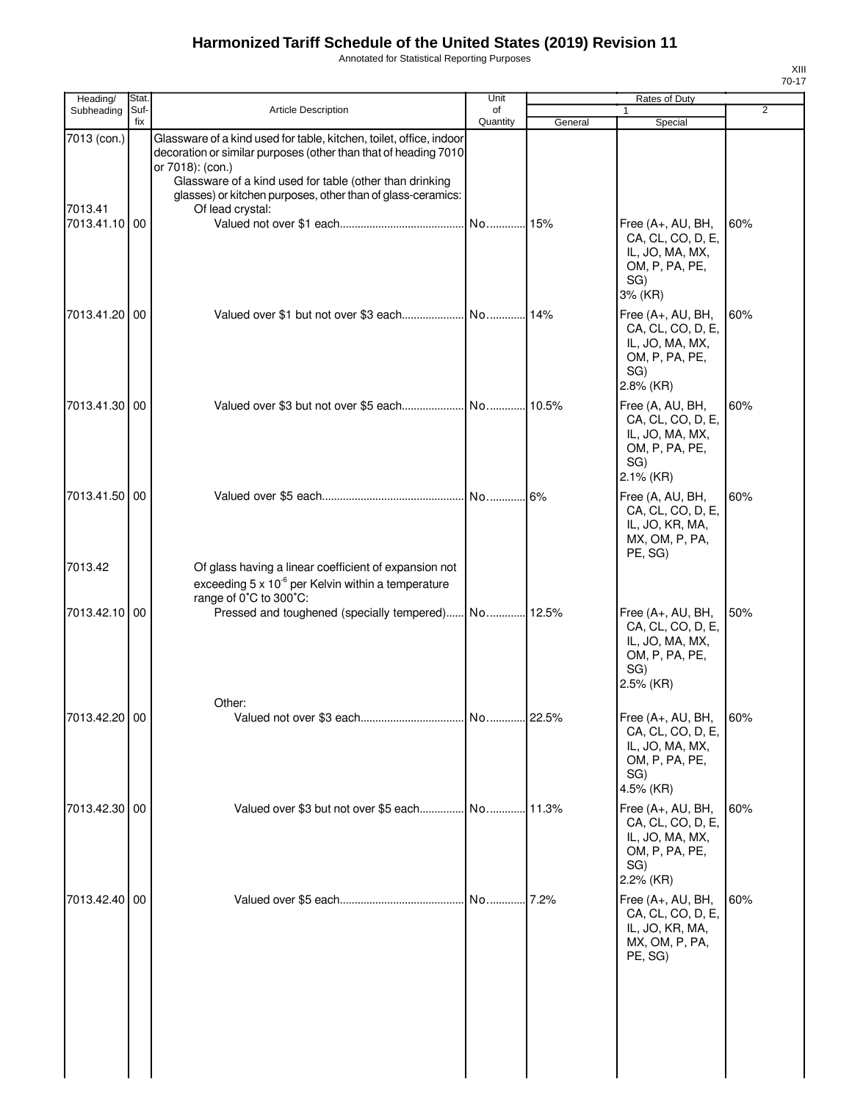Annotated for Statistical Reporting Purposes

| Heading/                 | Stat.       |                                                                                                                                                                                                                                                                                      | Unit           |         | Rates of Duty                                                                                     |                |
|--------------------------|-------------|--------------------------------------------------------------------------------------------------------------------------------------------------------------------------------------------------------------------------------------------------------------------------------------|----------------|---------|---------------------------------------------------------------------------------------------------|----------------|
| Subheading               | Suf-<br>fix | Article Description                                                                                                                                                                                                                                                                  | of<br>Quantity | General | 1<br>Special                                                                                      | $\overline{2}$ |
| 7013 (con.)              |             | Glassware of a kind used for table, kitchen, toilet, office, indoor<br>decoration or similar purposes (other than that of heading 7010<br>or 7018): (con.)<br>Glassware of a kind used for table (other than drinking<br>glasses) or kitchen purposes, other than of glass-ceramics: |                |         |                                                                                                   |                |
| 7013.41<br>7013.41.10 00 |             | Of lead crystal:                                                                                                                                                                                                                                                                     | No             | 15%     | Free (A+, AU, BH,<br>CA, CL, CO, D, E,<br>IL, JO, MA, MX,<br>OM, P, PA, PE,<br>SG)<br>3% (KR)     | 60%            |
| 7013.41.20 00            |             |                                                                                                                                                                                                                                                                                      |                |         | Free (A+, AU, BH,<br>CA, CL, CO, D, E,<br>IL, JO, MA, MX,<br>OM, P, PA, PE,<br>SG)<br>2.8% (KR)   | 60%            |
| 7013.41.30 00            |             |                                                                                                                                                                                                                                                                                      |                |         | Free (A, AU, BH,<br>CA, CL, CO, D, E,<br>IL, JO, MA, MX,<br>OM, P, PA, PE,<br>SG)<br>$2.1\%$ (KR) | 60%            |
| 7013.41.50 00<br>7013.42 |             |                                                                                                                                                                                                                                                                                      | No 6%          |         | Free (A, AU, BH,<br>CA, CL, CO, D, E,<br>IL, JO, KR, MA,<br>MX, OM, P, PA,<br>PE, SG)             | 60%            |
|                          |             | Of glass having a linear coefficient of expansion not<br>exceeding 5 x 10 <sup>-6</sup> per Kelvin within a temperature<br>range of 0°C to 300°C:                                                                                                                                    |                |         |                                                                                                   |                |
| 7013.42.10 00            |             | Pressed and toughened (specially tempered) No 12.5%                                                                                                                                                                                                                                  |                |         | Free (A+, AU, BH,<br>CA, CL, CO, D, E,<br>IL, JO, MA, MX,<br>OM, P, PA, PE,<br>SG)<br>2.5% (KR)   | 50%            |
|                          |             | Other:                                                                                                                                                                                                                                                                               |                |         |                                                                                                   |                |
| 7013.42.20 00            |             |                                                                                                                                                                                                                                                                                      |                |         | Free (A+, AU, BH,<br>CA, CL, CO, D, E,<br>IL, JO, MA, MX,<br>OM, P, PA, PE,<br>SG)<br>4.5% (KR)   | 60%            |
| 7013.42.30 00            |             |                                                                                                                                                                                                                                                                                      |                |         | Free (A+, AU, BH,<br>CA, CL, CO, D, E,<br>IL, JO, MA, MX,<br>OM, P, PA, PE,<br>SG)<br>2.2% (KR)   | 60%            |
| 7013.42.40 00            |             |                                                                                                                                                                                                                                                                                      | No             | 7.2%    | Free (A+, AU, BH,<br>CA, CL, CO, D, E,<br>IL, JO, KR, MA,<br>MX, OM, P, PA,<br>PE, SG)            | 60%            |
|                          |             |                                                                                                                                                                                                                                                                                      |                |         |                                                                                                   |                |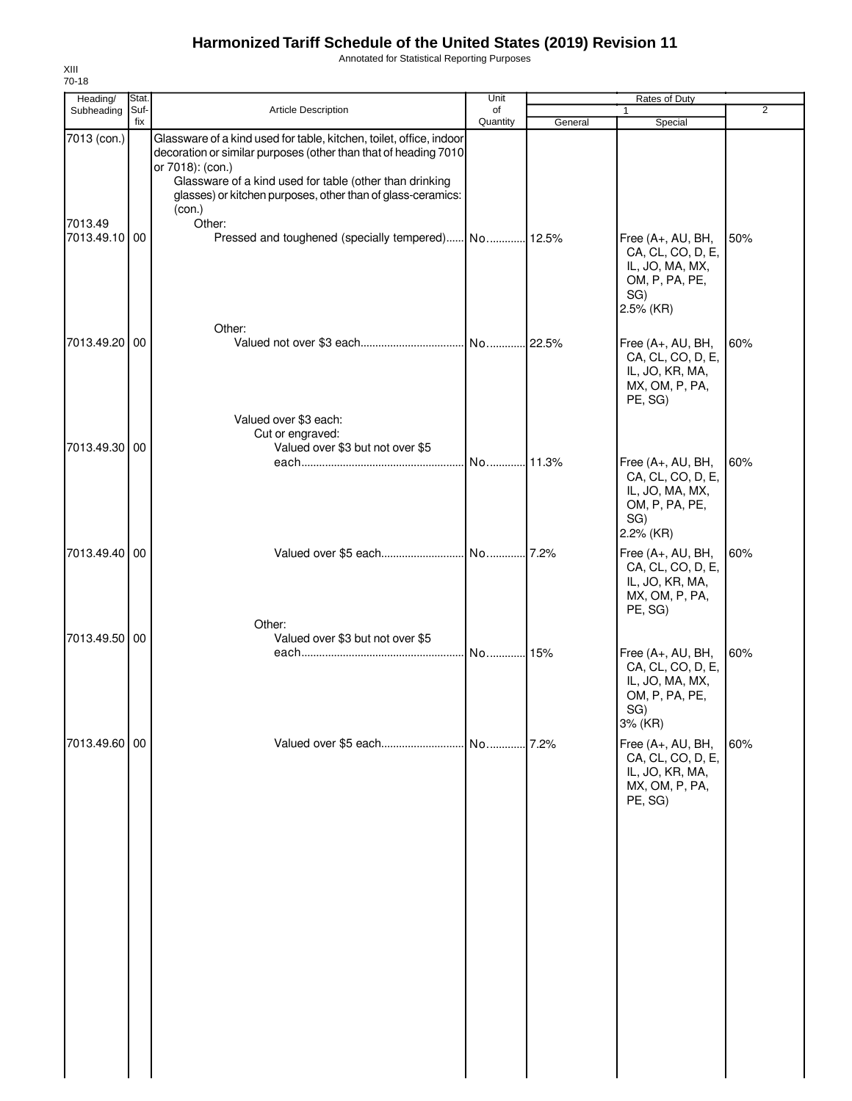Annotated for Statistical Reporting Purposes

| Heading/                 | Stat. |                                                                                                                                                      | Unit     |         | Rates of Duty                                                                                              |                |
|--------------------------|-------|------------------------------------------------------------------------------------------------------------------------------------------------------|----------|---------|------------------------------------------------------------------------------------------------------------|----------------|
| Subheading Suf-          |       | Article Description                                                                                                                                  | of       |         |                                                                                                            | $\overline{2}$ |
| 7013 (con.)              | fix   | Glassware of a kind used for table, kitchen, toilet, office, indoor<br>decoration or similar purposes (other than that of heading 7010               | Quantity | General | Special                                                                                                    |                |
|                          |       | or 7018): (con.)<br>Glassware of a kind used for table (other than drinking<br>glasses) or kitchen purposes, other than of glass-ceramics:<br>(con.) |          |         |                                                                                                            |                |
| 7013.49<br>7013.49.10 00 |       | Other:<br>Pressed and toughened (specially tempered) No 12.5%                                                                                        |          |         | Free (A+, AU, BH,<br>CA, CL, CO, D, E,<br>IL, JO, MA, MX,<br>OM, P, PA, PE,<br>SG)<br>2.5% (KR)            | 50%            |
| 7013.49.20 00            |       | Other:                                                                                                                                               |          |         | Free (A+, AU, BH,<br>CA, CL, CO, D, E,<br>IL, JO, KR, MA,<br>MX, OM, P, PA,<br>PE, SG)                     | 60%            |
| 7013.49.30 00            |       | Valued over \$3 each:<br>Cut or engraved:<br>Valued over \$3 but not over \$5                                                                        | No       | .11.3%  | Free (A+, AU, BH,<br>CA, CL, CO, D, E,<br>IL, JO, MA, MX,<br>OM, P, PA, PE,                                | 60%            |
| 7013.49.40 00            |       |                                                                                                                                                      |          |         | SG)<br>2.2% (KR)<br>Free (A+, AU, BH,<br>CA, CL, CO, D, E,<br>IL, JO, KR, MA,<br>MX, OM, P, PA,<br>PE, SG) | 60%            |
| 7013.49.50 00            |       | Other:<br>Valued over \$3 but not over \$5                                                                                                           | No 15%   |         | Free (A+, AU, BH,<br>CA, CL, CO, D, E,<br>IL, JO, MA, MX,<br>OM, P, PA, PE,<br>SG)<br>3% (KR)              | 60%            |
| 7013.49.60 00            |       | Valued over \$5 each                                                                                                                                 | No       | .7.2%   | Free (A+, AU, BH,<br>CA, CL, CO, D, E,<br>IL, JO, KR, MA,<br>MX, OM, P, PA,<br>PE, SG)                     | 60%            |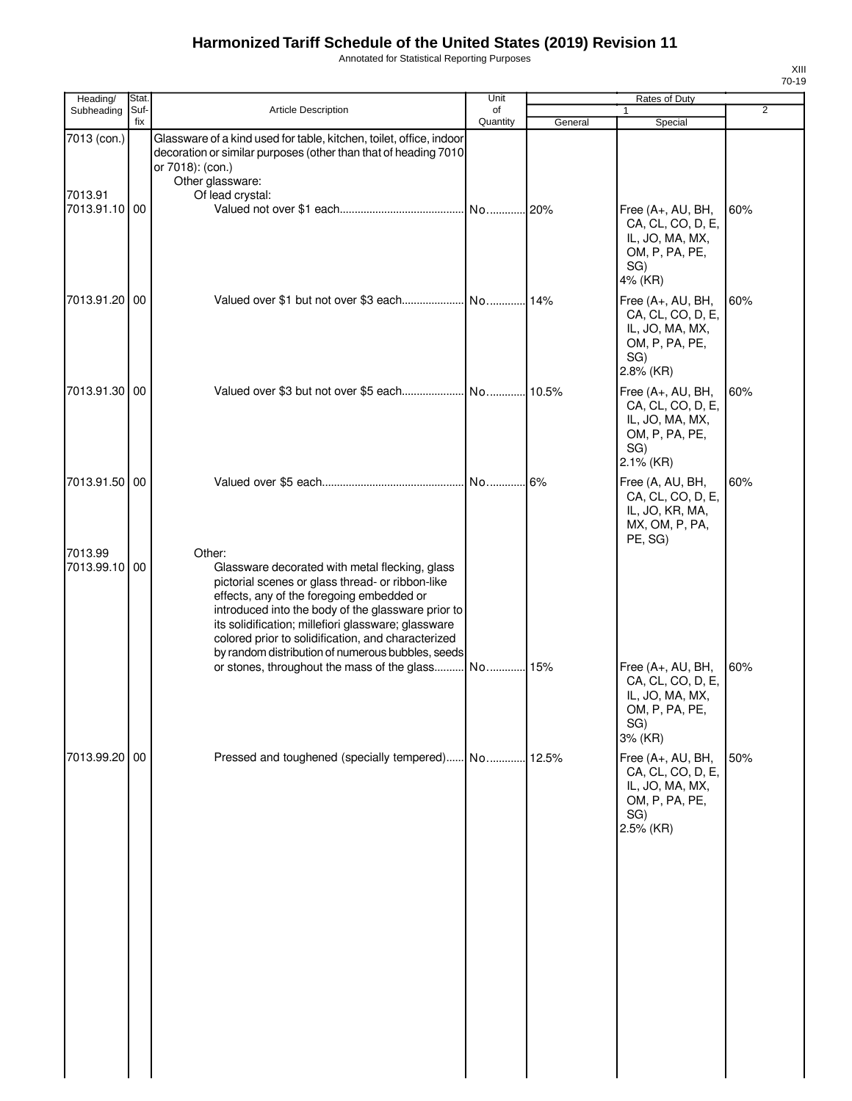Annotated for Statistical Reporting Purposes

| Heading/              | Stat. |                                                                                                                                                                                                                                                                                                                                                                                                                                  | Unit     |         | Rates of Duty                                                                                   |                |
|-----------------------|-------|----------------------------------------------------------------------------------------------------------------------------------------------------------------------------------------------------------------------------------------------------------------------------------------------------------------------------------------------------------------------------------------------------------------------------------|----------|---------|-------------------------------------------------------------------------------------------------|----------------|
| Subheading            | Suf-  | <b>Article Description</b>                                                                                                                                                                                                                                                                                                                                                                                                       | of       |         | $\mathbf{1}$                                                                                    | $\overline{2}$ |
| 7013 (con.)           | fix   | Glassware of a kind used for table, kitchen, toilet, office, indoor<br>decoration or similar purposes (other than that of heading 7010                                                                                                                                                                                                                                                                                           | Quantity | General | Special                                                                                         |                |
| 7013.91<br>7013.91.10 | 00    | or 7018): (con.)<br>Other glassware:<br>Of lead crystal:                                                                                                                                                                                                                                                                                                                                                                         | No       | 20%     | Free (A+, AU, BH,<br>CA, CL, CO, D, E,<br>IL, JO, MA, MX,<br>OM, P, PA, PE,<br>SG)<br>4% (KR)   | 60%            |
| 7013.91.20 00         |       |                                                                                                                                                                                                                                                                                                                                                                                                                                  |          | 14%     | Free (A+, AU, BH,<br>CA, CL, CO, D, E,<br>IL, JO, MA, MX,<br>OM, P, PA, PE,<br>SG)<br>2.8% (KR) | 60%            |
| 7013.91.30            | 00    |                                                                                                                                                                                                                                                                                                                                                                                                                                  |          |         | Free (A+, AU, BH,<br>CA, CL, CO, D, E,<br>IL, JO, MA, MX,<br>OM, P, PA, PE,<br>SG)<br>2.1% (KR) | 60%            |
| 7013.91.50 00         |       |                                                                                                                                                                                                                                                                                                                                                                                                                                  | No 6%    |         | Free (A, AU, BH,<br>CA, CL, CO, D, E,<br>IL, JO, KR, MA,<br>MX, OM, P, PA,<br>PE, SG)           | 60%            |
| 7013.99<br>7013.99.10 | 00    | Other:<br>Glassware decorated with metal flecking, glass<br>pictorial scenes or glass thread- or ribbon-like<br>effects, any of the foregoing embedded or<br>introduced into the body of the glassware prior to<br>its solidification; millefiori glassware; glassware<br>colored prior to solidification, and characterized<br>by random distribution of numerous bubbles, seeds<br>or stones, throughout the mass of the glass | No       | 15%     | Free (A+, AU, BH,                                                                               | 60%            |
|                       |       |                                                                                                                                                                                                                                                                                                                                                                                                                                  |          |         | CA, CL, CO, D, E,<br>IL, JO, MA, MX,<br>OM, P, PA, PE,<br>SG)<br>3% (KR)                        |                |
| 7013.99.20 00         |       | Pressed and toughened (specially tempered) No 12.5%                                                                                                                                                                                                                                                                                                                                                                              |          |         | Free (A+, AU, BH,<br>CA, CL, CO, D, E,<br>IL, JO, MA, MX,<br>OM, P, PA, PE,<br>SG)<br>2.5% (KR) | 50%            |
|                       |       |                                                                                                                                                                                                                                                                                                                                                                                                                                  |          |         |                                                                                                 |                |

XIII 70-19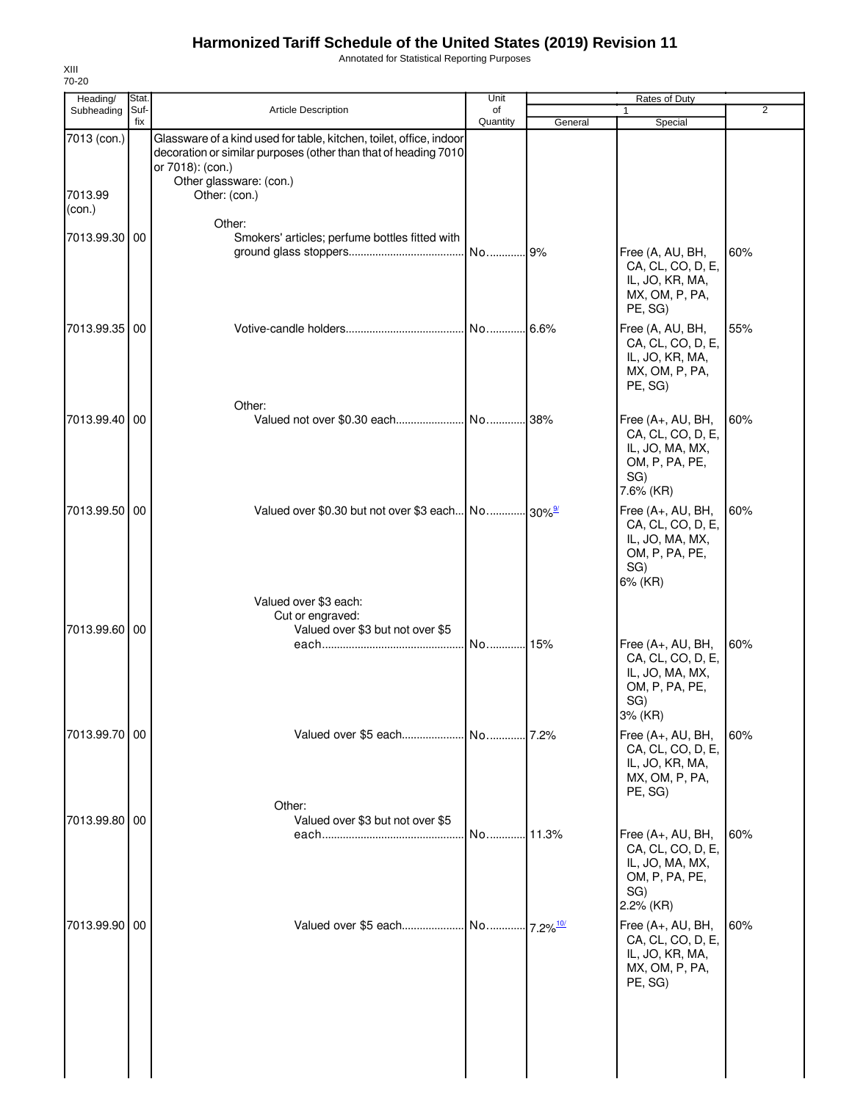Annotated for Statistical Reporting Purposes

| Heading/               | Stat.       |                                                                                                                                                                                                        | Unit           |                         | Rates of Duty                                                                                     |                |
|------------------------|-------------|--------------------------------------------------------------------------------------------------------------------------------------------------------------------------------------------------------|----------------|-------------------------|---------------------------------------------------------------------------------------------------|----------------|
| Subheading             | Suf-<br>fix | <b>Article Description</b>                                                                                                                                                                             | of<br>Quantity | General                 | 1<br>Special                                                                                      | $\overline{2}$ |
| 7013 (con.)<br>7013.99 |             | Glassware of a kind used for table, kitchen, toilet, office, indoor<br>decoration or similar purposes (other than that of heading 7010<br>or 7018): (con.)<br>Other glassware: (con.)<br>Other: (con.) |                |                         |                                                                                                   |                |
| (con.)                 |             |                                                                                                                                                                                                        |                |                         |                                                                                                   |                |
| 7013.99.30 00          |             | Other:<br>Smokers' articles; perfume bottles fitted with                                                                                                                                               | No             | 9%                      | Free (A, AU, BH,<br>CA, CL, CO, D, E,<br>IL, JO, KR, MA,<br>MX, OM, P, PA,                        | 60%            |
|                        |             |                                                                                                                                                                                                        |                |                         | PE, SG)                                                                                           |                |
| 7013.99.35             | 00          |                                                                                                                                                                                                        | No 6.6%        |                         | Free (A, AU, BH,<br>CA, CL, CO, D, E,<br>IL, JO, KR, MA,<br>MX, OM, P, PA,<br>PE, SG)             | 55%            |
| 7013.99.40 00          |             | Other:                                                                                                                                                                                                 |                | 38%                     | Free (A+, AU, BH,<br>CA, CL, CO, D, E,<br>IL, JO, MA, MX,<br>OM, P, PA, PE,                       | 60%            |
|                        |             |                                                                                                                                                                                                        |                |                         | SG)<br>7.6% (KR)                                                                                  |                |
| 7013.99.50             | 00          | Valued over \$0.30 but not over \$3 each No 30%                                                                                                                                                        |                |                         | Free (A+, AU, BH,<br>CA, CL, CO, D, E,<br>IL, JO, MA, MX,<br>OM, P, PA, PE,<br>SG)                | 60%            |
| 7013.99.60 00          |             | Valued over \$3 each:<br>Cut or engraved:<br>Valued over \$3 but not over \$5                                                                                                                          | No             | 15%                     | 6% (KR)<br>Free (A+, AU, BH,<br>CA, CL, CO, D, E,<br>IL, JO, MA, MX,<br>OM, P, PA, PE,            | 60%            |
| 7013.99.70 00          |             |                                                                                                                                                                                                        |                |                         | SG)<br>3% (KR)<br>Free (A+, AU, BH,<br>CA, CL, CO, D, E,                                          | 60%            |
|                        |             | Other:                                                                                                                                                                                                 |                |                         | IL, JO, KR, MA,<br>MX, OM, P, PA,<br>PE, SG)                                                      |                |
| 7013.99.80             | 00          | Valued over \$3 but not over \$5                                                                                                                                                                       |                |                         | Free $(A+, AU, BH,$<br>CA, CL, CO, D, E,<br>IL, JO, MA, MX,<br>OM, P, PA, PE,<br>SG)<br>2.2% (KR) | 60%            |
| 7013.99.90             | 00          | Valued over \$5 each No                                                                                                                                                                                |                | $.7.2\%$ <sup>10/</sup> | Free (A+, AU, BH,<br>CA, CL, CO, D, E,<br>IL, JO, KR, MA,<br>MX, OM, P, PA,<br>PE, SG)            | 60%            |
|                        |             |                                                                                                                                                                                                        |                |                         |                                                                                                   |                |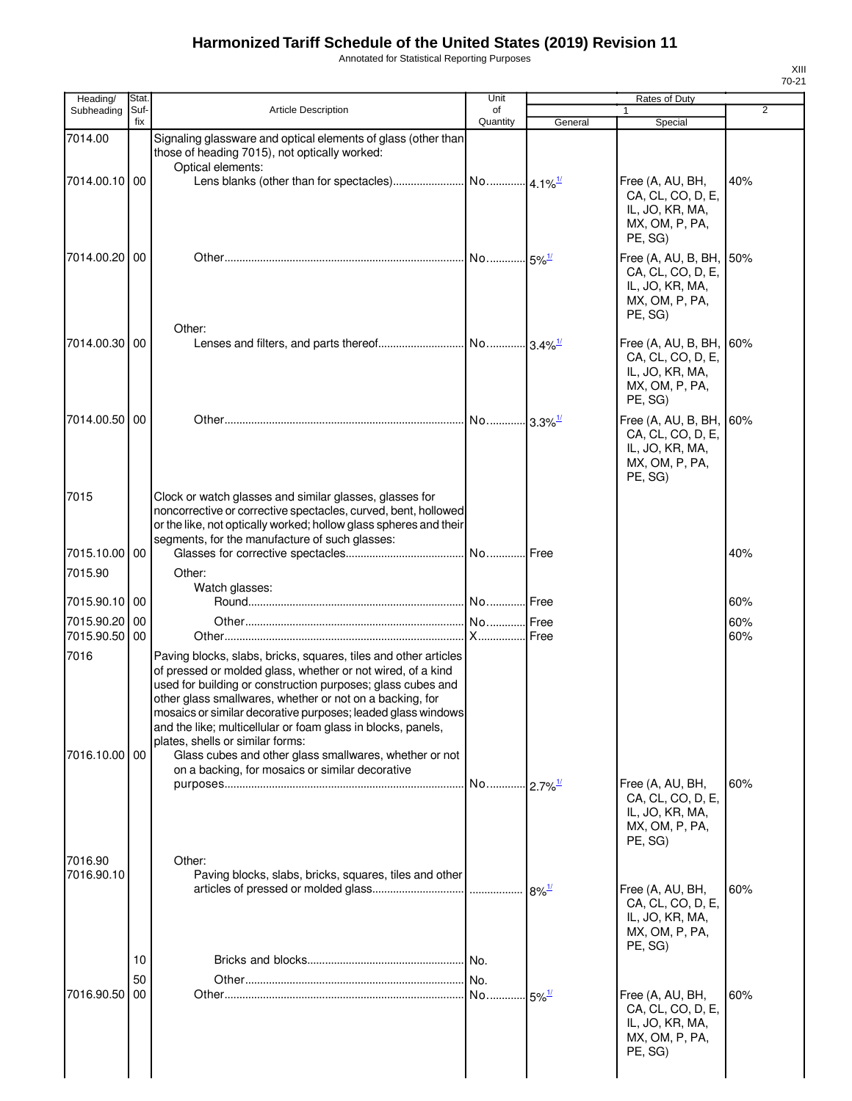Annotated for Statistical Reporting Purposes

| Heading/              | Stat.       |                                                                                                                                                                                                                                                                                                                                                                                                                                                                                                                                            | Unit           |                                       | Rates of Duty                                                                                |                |
|-----------------------|-------------|--------------------------------------------------------------------------------------------------------------------------------------------------------------------------------------------------------------------------------------------------------------------------------------------------------------------------------------------------------------------------------------------------------------------------------------------------------------------------------------------------------------------------------------------|----------------|---------------------------------------|----------------------------------------------------------------------------------------------|----------------|
| Subheading            | Suf-<br>fix | <b>Article Description</b>                                                                                                                                                                                                                                                                                                                                                                                                                                                                                                                 | of<br>Quantity | General                               | 1<br>Special                                                                                 | $\overline{2}$ |
| 7014.00               |             | Signaling glassware and optical elements of glass (other than<br>those of heading 7015), not optically worked:<br>Optical elements:                                                                                                                                                                                                                                                                                                                                                                                                        |                |                                       |                                                                                              |                |
| 7014.00.10 00         |             |                                                                                                                                                                                                                                                                                                                                                                                                                                                                                                                                            |                |                                       | Free (A, AU, BH,<br>CA, CL, CO, D, E,<br>IL, JO, KR, MA,<br>MX, OM, P, PA,<br>PE, SG)        | 40%            |
| 7014.00.20 00         |             |                                                                                                                                                                                                                                                                                                                                                                                                                                                                                                                                            |                | $\left\  . \right\ $ 5% $\frac{1}{2}$ | Free (A, AU, B, BH, 50%<br>CA, CL, CO, D, E,<br>IL, JO, KR, MA,<br>MX, OM, P, PA,<br>PE, SG) |                |
| 7014.00.30 00         |             | Other:                                                                                                                                                                                                                                                                                                                                                                                                                                                                                                                                     |                |                                       | Free (A, AU, B, BH,<br>CA, CL, CO, D, E,<br>IL, JO, KR, MA,<br>MX, OM, P, PA,<br>PE, SG)     | 60%            |
| 7014.00.50 00         |             |                                                                                                                                                                                                                                                                                                                                                                                                                                                                                                                                            |                |                                       | Free (A, AU, B, BH,<br>CA, CL, CO, D, E,<br>IL, JO, KR, MA,<br>MX, OM, P, PA,<br>PE, SG)     | 60%            |
| 7015                  |             | Clock or watch glasses and similar glasses, glasses for<br>noncorrective or corrective spectacles, curved, bent, hollowed<br>or the like, not optically worked; hollow glass spheres and their<br>segments, for the manufacture of such glasses:                                                                                                                                                                                                                                                                                           |                |                                       |                                                                                              |                |
| 7015.10.00 00         |             |                                                                                                                                                                                                                                                                                                                                                                                                                                                                                                                                            |                |                                       |                                                                                              | 40%            |
| 7015.90               |             | Other:                                                                                                                                                                                                                                                                                                                                                                                                                                                                                                                                     |                |                                       |                                                                                              |                |
| 7015.90.10 00         |             | Watch glasses:                                                                                                                                                                                                                                                                                                                                                                                                                                                                                                                             |                |                                       |                                                                                              | 60%            |
| 7015.90.20            | 00          |                                                                                                                                                                                                                                                                                                                                                                                                                                                                                                                                            |                |                                       |                                                                                              | 60%            |
| 7015.90.50            | 00          |                                                                                                                                                                                                                                                                                                                                                                                                                                                                                                                                            |                |                                       |                                                                                              | 60%            |
| 7016<br>7016.10.00 00 |             | Paving blocks, slabs, bricks, squares, tiles and other articles<br>of pressed or molded glass, whether or not wired, of a kind<br>used for building or construction purposes; glass cubes and<br>other glass smallwares, whether or not on a backing, for<br>mosaics or similar decorative purposes; leaded glass windows<br>and the like; multicellular or foam glass in blocks, panels,<br>plates, shells or similar forms:<br>Glass cubes and other glass smallwares, whether or not<br>on a backing, for mosaics or similar decorative |                |                                       |                                                                                              |                |
| 7016.90               |             | Other:                                                                                                                                                                                                                                                                                                                                                                                                                                                                                                                                     | No.            | $-2.7\%$ <sup>1/</sup>                | Free (A, AU, BH,<br>CA, CL, CO, D, E,<br>IL, JO, KR, MA,<br>MX, OM, P, PA,<br>PE, SG)        | 60%            |
| 7016.90.10            | 10          | Paving blocks, slabs, bricks, squares, tiles and other                                                                                                                                                                                                                                                                                                                                                                                                                                                                                     |                | $8\%$ <sup>1/</sup>                   | Free (A, AU, BH,<br>CA, CL, CO, D, E,<br>IL, JO, KR, MA,<br>MX, OM, P, PA,<br>PE, SG)        | 60%            |
| 7016.90.50            | 50<br>00    |                                                                                                                                                                                                                                                                                                                                                                                                                                                                                                                                            | No             | $-5\%$ <sup>1/</sup>                  | Free (A, AU, BH,<br>CA, CL, CO, D, E,<br>IL, JO, KR, MA,<br>MX, OM, P, PA,<br>PE, SG)        | 60%            |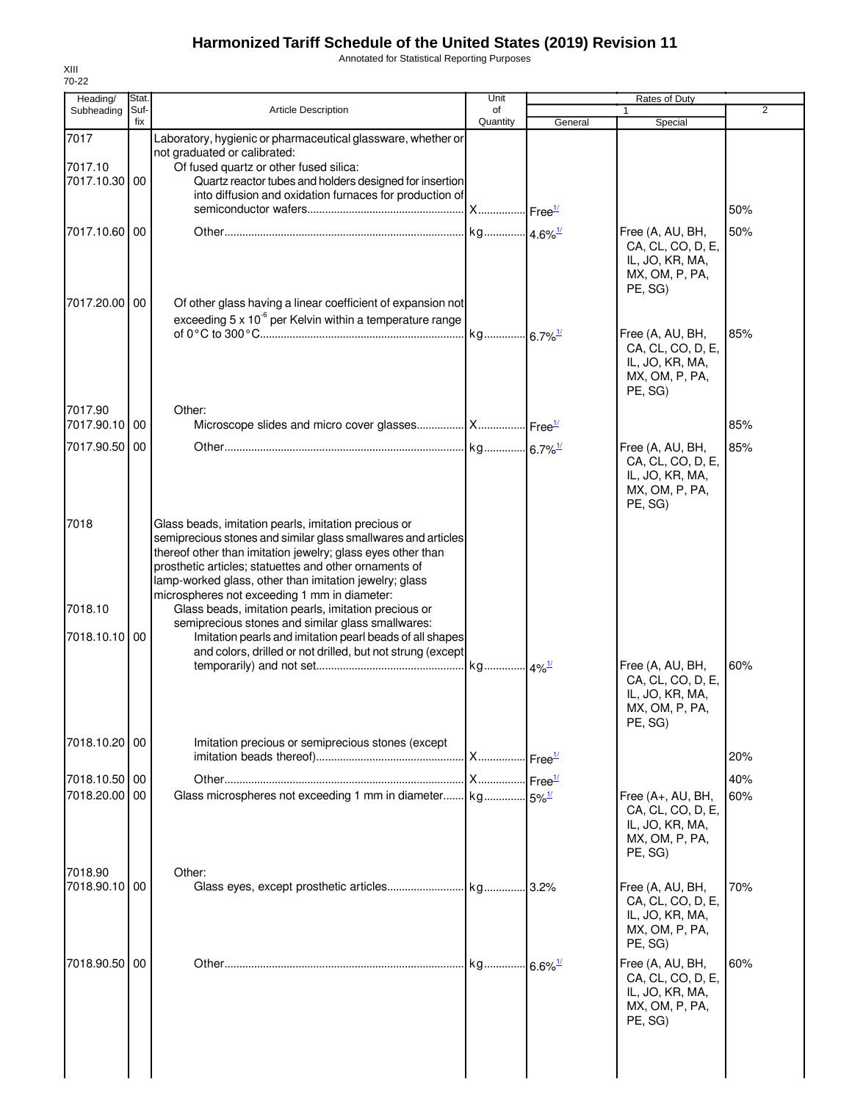Annotated for Statistical Reporting Purposes

| Heading/                 | Stat.       |                                                                                                                  | Unit                  |         | <b>Rates of Duty</b>                     |                |
|--------------------------|-------------|------------------------------------------------------------------------------------------------------------------|-----------------------|---------|------------------------------------------|----------------|
| Subheading               | Suf-<br>fix | <b>Article Description</b>                                                                                       | of<br>Quantity        | General | $\mathbf{1}$<br>Special                  | $\overline{2}$ |
| 7017                     |             | Laboratory, hygienic or pharmaceutical glassware, whether or                                                     |                       |         |                                          |                |
|                          |             | not graduated or calibrated:                                                                                     |                       |         |                                          |                |
| 7017.10<br>7017.10.30 00 |             | Of fused quartz or other fused silica:<br>Quartz reactor tubes and holders designed for insertion                |                       |         |                                          |                |
|                          |             | into diffusion and oxidation furnaces for production of                                                          |                       |         |                                          |                |
|                          |             |                                                                                                                  |                       |         |                                          | 50%            |
| 7017.10.60 00            |             |                                                                                                                  | kg 4.6% <sup>1/</sup> |         | Free (A, AU, BH,                         | 50%            |
|                          |             |                                                                                                                  |                       |         | CA, CL, CO, D, E,                        |                |
|                          |             |                                                                                                                  |                       |         | IL, JO, KR, MA,<br>MX, OM, P, PA,        |                |
|                          |             |                                                                                                                  |                       |         | PE, SG)                                  |                |
| 7017.20.00 00            |             | Of other glass having a linear coefficient of expansion not                                                      |                       |         |                                          |                |
|                          |             | exceeding 5 $\times$ 10 <sup>-6</sup> per Kelvin within a temperature range                                      | kg 6.7% <sup>1/</sup> |         | Free (A, AU, BH,                         | 85%            |
|                          |             |                                                                                                                  |                       |         | CA, CL, CO, D, E,                        |                |
|                          |             |                                                                                                                  |                       |         | IL, JO, KR, MA,                          |                |
|                          |             |                                                                                                                  |                       |         | MX, OM, P, PA,<br>PE, SG)                |                |
| 7017.90                  |             | Other:                                                                                                           |                       |         |                                          |                |
| 7017.90.10 00            |             | Microscope slides and micro cover glasses  X  Free <sup>1/</sup>                                                 |                       |         |                                          | 85%            |
| 7017.90.50 00            |             |                                                                                                                  |                       |         | Free (A, AU, BH,                         | 85%            |
|                          |             |                                                                                                                  |                       |         | CA, CL, CO, D, E,                        |                |
|                          |             |                                                                                                                  |                       |         | IL, JO, KR, MA,                          |                |
|                          |             |                                                                                                                  |                       |         | MX, OM, P, PA,<br>PE, SG)                |                |
| 7018                     |             | Glass beads, imitation pearls, imitation precious or                                                             |                       |         |                                          |                |
|                          |             | semiprecious stones and similar glass smallwares and articles                                                    |                       |         |                                          |                |
|                          |             | thereof other than imitation jewelry; glass eyes other than                                                      |                       |         |                                          |                |
|                          |             | prosthetic articles; statuettes and other ornaments of<br>lamp-worked glass, other than imitation jewelry; glass |                       |         |                                          |                |
|                          |             | microspheres not exceeding 1 mm in diameter:                                                                     |                       |         |                                          |                |
| 7018.10                  |             | Glass beads, imitation pearls, imitation precious or                                                             |                       |         |                                          |                |
| 7018.10.10 00            |             | semiprecious stones and similar glass smallwares:<br>Imitation pearls and imitation pearl beads of all shapes    |                       |         |                                          |                |
|                          |             | and colors, drilled or not drilled, but not strung (except                                                       |                       |         |                                          |                |
|                          |             |                                                                                                                  | kg 4% <sup>1/</sup>   |         | Free (A, AU, BH,                         | 60%            |
|                          |             |                                                                                                                  |                       |         | CA, CL, CO, D, E,<br>IL, JO, KR, MA,     |                |
|                          |             |                                                                                                                  |                       |         | MX, OM, P, PA,                           |                |
|                          |             |                                                                                                                  |                       |         | PE, SG)                                  |                |
| 7018.10.20 00            |             | Imitation precious or semiprecious stones (except                                                                |                       |         |                                          |                |
|                          |             |                                                                                                                  | X Free <sup>1/</sup>  |         |                                          | 20%            |
| 7018.10.50 00            |             |                                                                                                                  | X Free <sup>1/</sup>  |         |                                          | 40%            |
| 7018.20.00 00            |             | Glass microspheres not exceeding 1 mm in diameter                                                                | kg 5% <sup>1/</sup>   |         | Free $(A+, AU, BH,$<br>CA, CL, CO, D, E, | 60%            |
|                          |             |                                                                                                                  |                       |         | IL, JO, KR, MA,                          |                |
|                          |             |                                                                                                                  |                       |         | MX, OM, P, PA,                           |                |
|                          |             |                                                                                                                  |                       |         | PE, SG)                                  |                |
| 7018.90<br>7018.90.10 00 |             | Other:                                                                                                           |                       |         | Free (A, AU, BH,                         | 70%            |
|                          |             |                                                                                                                  |                       |         | CA, CL, CO, D, E,                        |                |
|                          |             |                                                                                                                  |                       |         | IL, JO, KR, MA,                          |                |
|                          |             |                                                                                                                  |                       |         | MX, OM, P, PA,<br>PE, SG)                |                |
| 7018.90.50 00            |             |                                                                                                                  | kg 6.6% <sup>1/</sup> |         | Free (A, AU, BH,                         | 60%            |
|                          |             |                                                                                                                  |                       |         | CA, CL, CO, D, E,                        |                |
|                          |             |                                                                                                                  |                       |         | IL, JO, KR, MA,                          |                |
|                          |             |                                                                                                                  |                       |         | MX, OM, P, PA,<br>PE, SG)                |                |
|                          |             |                                                                                                                  |                       |         |                                          |                |
|                          |             |                                                                                                                  |                       |         |                                          |                |
|                          |             |                                                                                                                  |                       |         |                                          |                |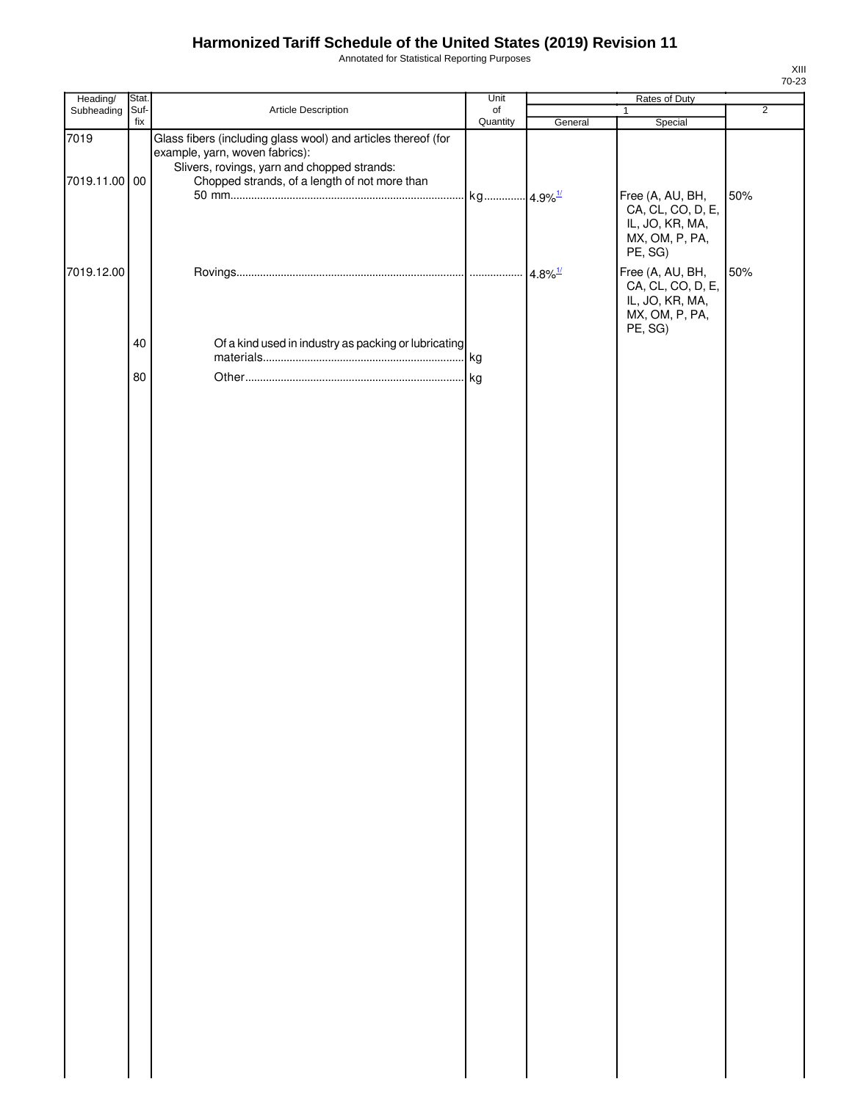Annotated for Statistical Reporting Purposes

| Heading/        | Stat. |                                                                                                                                                | Unit           | Rates of Duty |                                                                                       |                |
|-----------------|-------|------------------------------------------------------------------------------------------------------------------------------------------------|----------------|---------------|---------------------------------------------------------------------------------------|----------------|
| Subheading Suf- | fix   | Article Description                                                                                                                            | of<br>Quantity |               | 1                                                                                     | $\overline{2}$ |
| 7019            |       | Glass fibers (including glass wool) and articles thereof (for<br>example, yarn, woven fabrics):<br>Slivers, rovings, yarn and chopped strands: |                | General       | Special                                                                               |                |
| 7019.11.00 00   |       | Chopped strands, of a length of not more than                                                                                                  |                |               | Free (A, AU, BH,<br>CA, CL, CO, D, E,<br>IL, JO, KR, MA,<br>MX, OM, P, PA,<br>PE, SG) | 50%            |
| 7019.12.00      |       |                                                                                                                                                |                |               | Free (A, AU, BH,<br>CA, CL, CO, D, E,<br>IL, JO, KR, MA,<br>MX, OM, P, PA,<br>PE, SG) | 50%            |
|                 | 40    | Of a kind used in industry as packing or lubricating                                                                                           | kg             |               |                                                                                       |                |
|                 | 80    |                                                                                                                                                | . kg           |               |                                                                                       |                |
|                 |       |                                                                                                                                                |                |               |                                                                                       |                |
|                 |       |                                                                                                                                                |                |               |                                                                                       |                |
|                 |       |                                                                                                                                                |                |               |                                                                                       |                |
|                 |       |                                                                                                                                                |                |               |                                                                                       |                |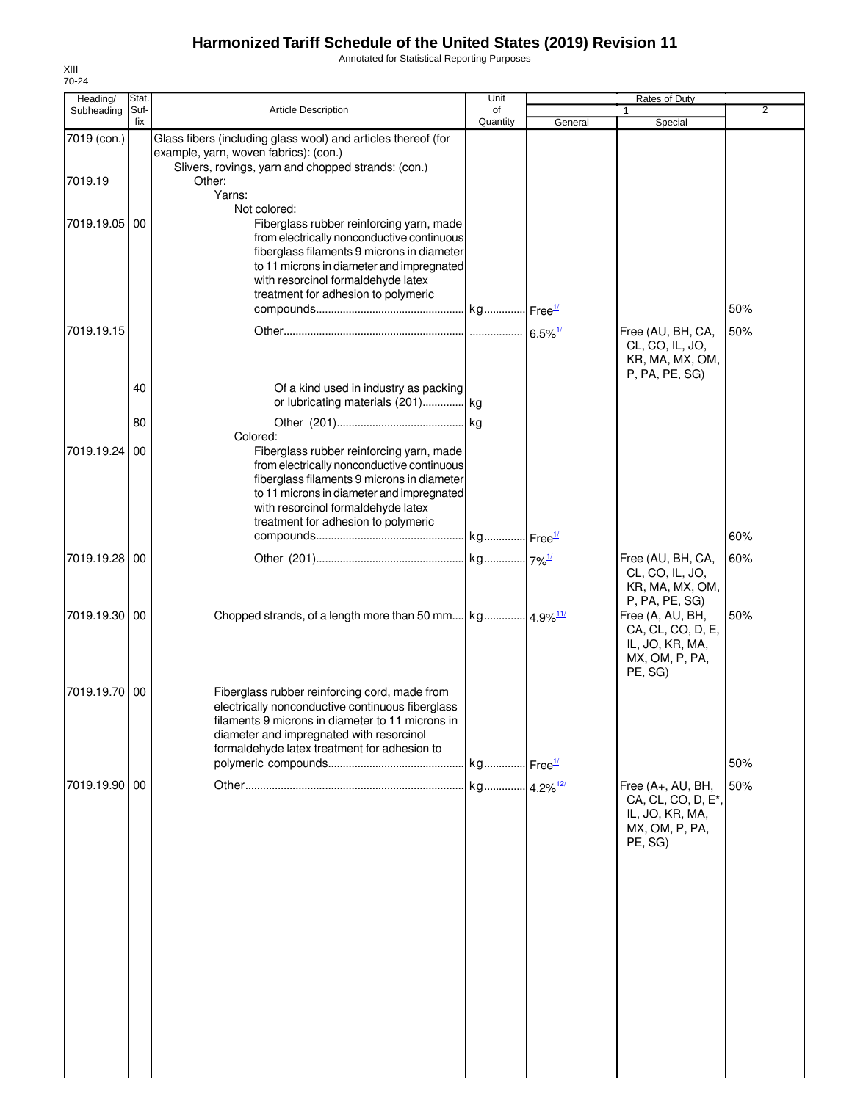Annotated for Statistical Reporting Purposes

| Heading/      | Stat.       |                                                                                                                                                                                                                                                                            | Unit                   |         | Rates of Duty                                                                                                              |     |
|---------------|-------------|----------------------------------------------------------------------------------------------------------------------------------------------------------------------------------------------------------------------------------------------------------------------------|------------------------|---------|----------------------------------------------------------------------------------------------------------------------------|-----|
| Subheading    | Suf-<br>fix | <b>Article Description</b>                                                                                                                                                                                                                                                 | of<br>Quantity         | General | Special                                                                                                                    | 2   |
| 7019 (con.)   |             | Glass fibers (including glass wool) and articles thereof (for<br>example, yarn, woven fabrics): (con.)<br>Slivers, rovings, yarn and chopped strands: (con.)                                                                                                               |                        |         |                                                                                                                            |     |
| 7019.19       |             | Other:<br>Yarns:<br>Not colored:                                                                                                                                                                                                                                           |                        |         |                                                                                                                            |     |
| 7019.19.05    | 00          | Fiberglass rubber reinforcing yarn, made<br>from electrically nonconductive continuous<br>fiberglass filaments 9 microns in diameter<br>to 11 microns in diameter and impregnated<br>with resorcinol formaldehyde latex<br>treatment for adhesion to polymeric             |                        |         |                                                                                                                            | 50% |
| 7019.19.15    |             |                                                                                                                                                                                                                                                                            |                        |         | Free (AU, BH, CA,<br>CL, CO, IL, JO,<br>KR, MA, MX, OM,<br>P, PA, PE, SG)                                                  | 50% |
|               | 40<br>80    | Of a kind used in industry as packing<br>or lubricating materials (201) kg                                                                                                                                                                                                 |                        |         |                                                                                                                            |     |
| 7019.19.24    | 00          | Colored:<br>Fiberglass rubber reinforcing yarn, made<br>from electrically nonconductive continuous<br>fiberglass filaments 9 microns in diameter<br>to 11 microns in diameter and impregnated<br>with resorcinol formaldehyde latex<br>treatment for adhesion to polymeric |                        |         |                                                                                                                            | 60% |
| 7019.19.28    | 00          |                                                                                                                                                                                                                                                                            |                        |         | Free (AU, BH, CA,<br>CL, CO, IL, JO,                                                                                       | 60% |
| 7019.19.30 00 |             |                                                                                                                                                                                                                                                                            |                        |         | KR, MA, MX, OM,<br>P, PA, PE, SG)<br>Free (A, AU, BH,<br>CA, CL, CO, D, E,<br>IL, JO, KR, MA,<br>MX, OM, P, PA,<br>PE, SG) | 50% |
| 7019.19.70 00 |             | Fiberglass rubber reinforcing cord, made from<br>electrically nonconductive continuous fiberglass<br>filaments 9 microns in diameter to 11 microns in<br>diameter and impregnated with resorcinol<br>formaldehyde latex treatment for adhesion to                          |                        |         |                                                                                                                            | 50% |
| 7019.19.90 00 |             |                                                                                                                                                                                                                                                                            | kg 4.2% <sup>12/</sup> |         | Free (A+, AU, BH,<br>CA, CL, CO, D, E*,<br>IL, JO, KR, MA,<br>MX, OM, P, PA,<br>PE, SG)                                    | 50% |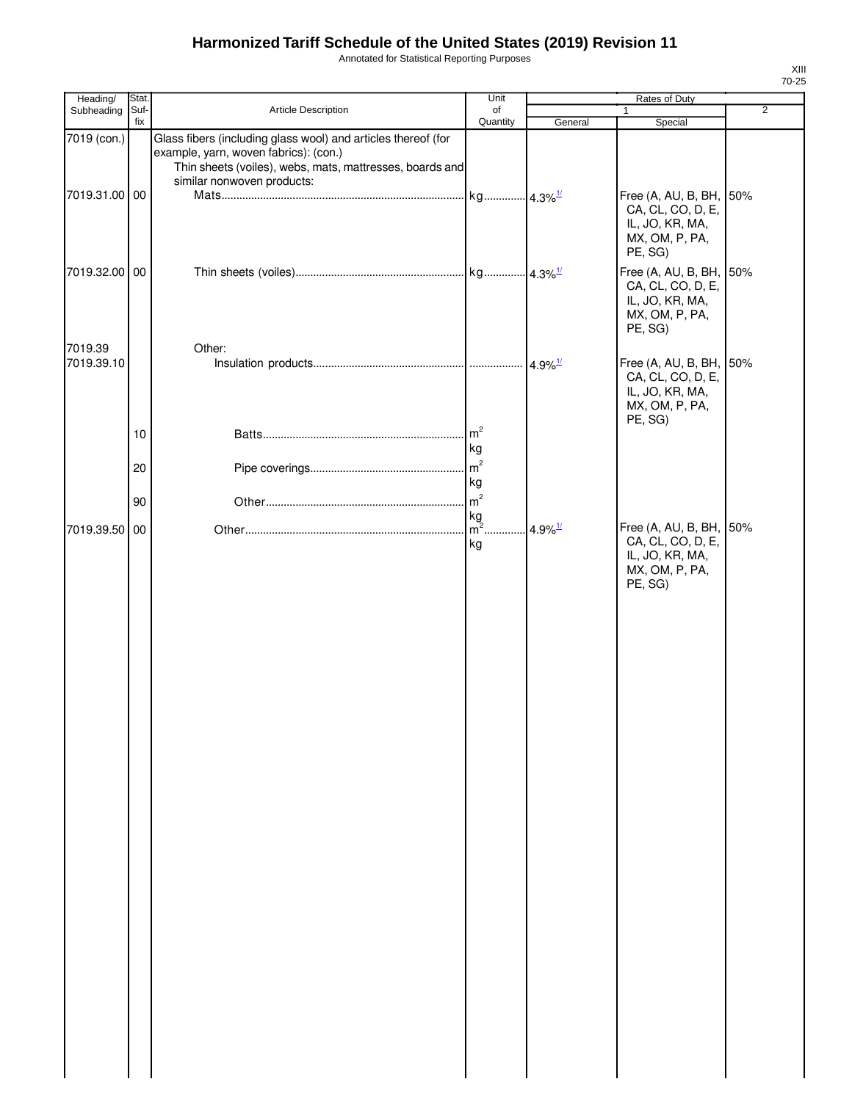Annotated for Statistical Reporting Purposes

| Heading/                     | Stat.          |                                                                                                                                                                                                  | Unit                                                           | Rates of Duty         |                                                                                              |                |  |
|------------------------------|----------------|--------------------------------------------------------------------------------------------------------------------------------------------------------------------------------------------------|----------------------------------------------------------------|-----------------------|----------------------------------------------------------------------------------------------|----------------|--|
| Subheading                   | Suf-<br>fix    | Article Description                                                                                                                                                                              | of<br>Quantity                                                 | General               | 1<br>Special                                                                                 | $\overline{2}$ |  |
| 7019 (con.)<br>7019.31.00 00 |                | Glass fibers (including glass wool) and articles thereof (for<br>example, yarn, woven fabrics): (con.)<br>Thin sheets (voiles), webs, mats, mattresses, boards and<br>similar nonwoven products: | kg 4.3% <sup>1/</sup>                                          |                       | Free (A, AU, B, BH, 50%<br>CA, CL, CO, D, E,<br>IL, JO, KR, MA,<br>MX, OM, P, PA,<br>PE, SG) |                |  |
| 7019.32.00 00                |                |                                                                                                                                                                                                  |                                                                |                       | Free (A, AU, B, BH, 50%<br>CA, CL, CO, D, E,<br>IL, JO, KR, MA,<br>MX, OM, P, PA,<br>PE, SG) |                |  |
| 7019.39<br>7019.39.10        | 10<br>20<br>90 | Other:                                                                                                                                                                                           | m <sup>2</sup><br>kg<br>m <sup>2</sup><br>kg<br>m <sup>2</sup> |                       | Free (A, AU, B, BH, 50%<br>CA, CL, CO, D, E,<br>IL, JO, KR, MA,<br>MX, OM, P, PA,<br>PE, SG) |                |  |
| 7019.39.50 00                |                |                                                                                                                                                                                                  | kg<br>m <sup>2</sup><br>kg                                     | $4.9\%$ <sup>1/</sup> | Free (A, AU, B, BH, 50%<br>CA, CL, CO, D, E,<br>IL, JO, KR, MA,<br>MX, OM, P, PA,<br>PE, SG) |                |  |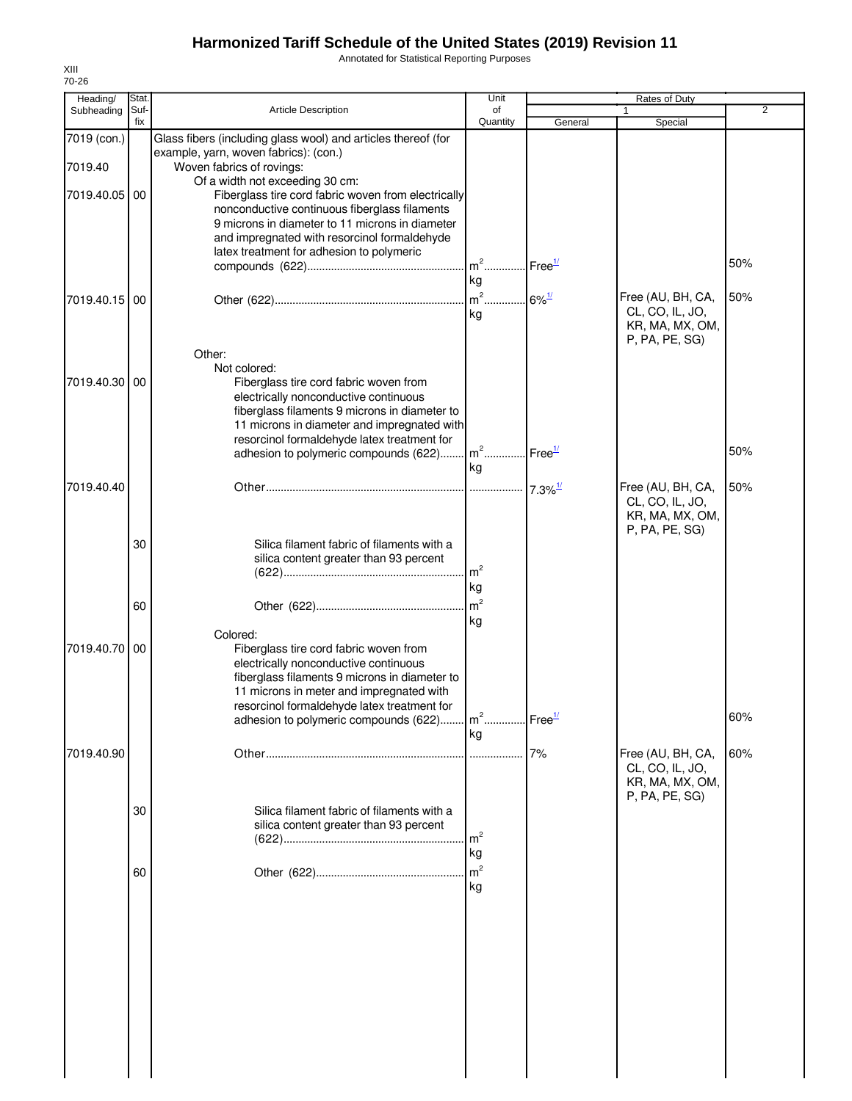Annotated for Statistical Reporting Purposes

| Heading/               | Stat.       |                                                                                                                                                                                                                                                                                                        | Unit                              |                       | <b>Rates of Duty</b>                                                      |                |
|------------------------|-------------|--------------------------------------------------------------------------------------------------------------------------------------------------------------------------------------------------------------------------------------------------------------------------------------------------------|-----------------------------------|-----------------------|---------------------------------------------------------------------------|----------------|
| Subheading             | Suf-<br>fix | Article Description                                                                                                                                                                                                                                                                                    | of<br>Quantity                    | General               | 1<br>Special                                                              | $\overline{2}$ |
| 7019 (con.)<br>7019.40 |             | Glass fibers (including glass wool) and articles thereof (for<br>example, yarn, woven fabrics): (con.)<br>Woven fabrics of rovings:                                                                                                                                                                    |                                   |                       |                                                                           |                |
| 7019.40.05             | 00          | Of a width not exceeding 30 cm:<br>Fiberglass tire cord fabric woven from electrically<br>nonconductive continuous fiberglass filaments<br>9 microns in diameter to 11 microns in diameter<br>and impregnated with resorcinol formaldehyde<br>latex treatment for adhesion to polymeric                | $m2$ .<br>kg                      | Free $\frac{1}{2}$    |                                                                           | 50%            |
| 7019.40.15 00          |             | Other:                                                                                                                                                                                                                                                                                                 | $m2$<br>kg                        | $6\%$ <sup>1/</sup>   | Free (AU, BH, CA,<br>CL, CO, IL, JO,<br>KR, MA, MX, OM,<br>P, PA, PE, SG) | 50%            |
| 7019.40.30             | 00          | Not colored:<br>Fiberglass tire cord fabric woven from<br>electrically nonconductive continuous<br>fiberglass filaments 9 microns in diameter to<br>11 microns in diameter and impregnated with<br>resorcinol formaldehyde latex treatment for<br>adhesion to polymeric compounds (622)                | $m^2$                             | $.$ Free $1/$         |                                                                           | 50%            |
| 7019.40.40             |             |                                                                                                                                                                                                                                                                                                        | kg                                | $7.3\%$ <sup>1/</sup> | Free (AU, BH, CA,<br>CL, CO, IL, JO,<br>KR, MA, MX, OM,<br>P, PA, PE, SG) | 50%            |
|                        | 30          | Silica filament fabric of filaments with a<br>silica content greater than 93 percent                                                                                                                                                                                                                   | $\mathsf{Im}^2$<br>kg             |                       |                                                                           |                |
|                        | 60          | Colored:                                                                                                                                                                                                                                                                                               | $\mathsf{I}$ m <sup>2</sup><br>kg |                       |                                                                           |                |
| 7019.40.70             | 00          | Fiberglass tire cord fabric woven from<br>electrically nonconductive continuous<br>fiberglass filaments 9 microns in diameter to<br>11 microns in meter and impregnated with<br>resorcinol formaldehyde latex treatment for<br>adhesion to polymeric compounds (622) m <sup>2</sup> Free <sup>1/</sup> |                                   |                       |                                                                           | 60%            |
| 7019.40.90             |             |                                                                                                                                                                                                                                                                                                        | kg                                | 7%                    | Free (AU, BH, CA,<br>CL, CO, IL, JO,<br>KR, MA, MX, OM,                   | 60%            |
|                        | 30          | Silica filament fabric of filaments with a<br>silica content greater than 93 percent                                                                                                                                                                                                                   | m <sup>2</sup><br>kg              |                       | P, PA, PE, SG)                                                            |                |
|                        | 60          |                                                                                                                                                                                                                                                                                                        | m <sup>2</sup><br>kg              |                       |                                                                           |                |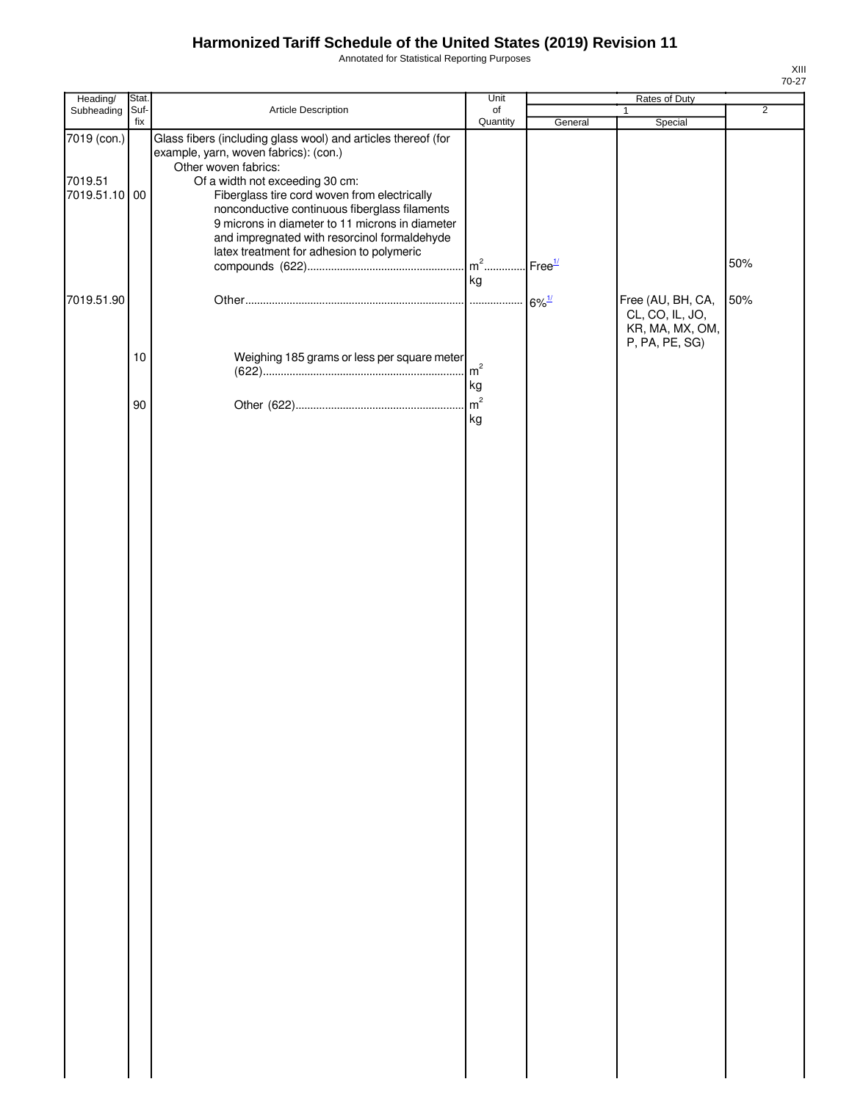Annotated for Statistical Reporting Purposes

| Heading/                                | Stat.       |                                                                                                                                                                                                                                                                                                                                                                                                                    | Unit                 |                     | Rates of Duty                                           |                |
|-----------------------------------------|-------------|--------------------------------------------------------------------------------------------------------------------------------------------------------------------------------------------------------------------------------------------------------------------------------------------------------------------------------------------------------------------------------------------------------------------|----------------------|---------------------|---------------------------------------------------------|----------------|
| Subheading                              | Suf-<br>fix | Article Description                                                                                                                                                                                                                                                                                                                                                                                                | of<br>Quantity       | General             | $\mathbf{1}$<br>Special                                 | $\overline{2}$ |
| 7019 (con.)<br>7019.51<br>7019.51.10 00 |             | Glass fibers (including glass wool) and articles thereof (for<br>example, yarn, woven fabrics): (con.)<br>Other woven fabrics:<br>Of a width not exceeding 30 cm:<br>Fiberglass tire cord woven from electrically<br>nonconductive continuous fiberglass filaments<br>9 microns in diameter to 11 microns in diameter<br>and impregnated with resorcinol formaldehyde<br>latex treatment for adhesion to polymeric | $m2$<br>kg           | Free <sup>1/</sup>  |                                                         | 50%            |
| 7019.51.90                              |             |                                                                                                                                                                                                                                                                                                                                                                                                                    |                      | $6\%$ <sup>1/</sup> | Free (AU, BH, CA,<br>CL, CO, IL, JO,<br>KR, MA, MX, OM, | 50%            |
|                                         | 10          | Weighing 185 grams or less per square meter                                                                                                                                                                                                                                                                                                                                                                        | $\mathsf{m}^2$<br>kg |                     | P, PA, PE, SG)                                          |                |
|                                         | 90          |                                                                                                                                                                                                                                                                                                                                                                                                                    | kg                   |                     |                                                         |                |
|                                         |             |                                                                                                                                                                                                                                                                                                                                                                                                                    |                      |                     |                                                         |                |
|                                         |             |                                                                                                                                                                                                                                                                                                                                                                                                                    |                      |                     |                                                         |                |
|                                         |             |                                                                                                                                                                                                                                                                                                                                                                                                                    |                      |                     |                                                         |                |
|                                         |             |                                                                                                                                                                                                                                                                                                                                                                                                                    |                      |                     |                                                         |                |
|                                         |             |                                                                                                                                                                                                                                                                                                                                                                                                                    |                      |                     |                                                         |                |
|                                         |             |                                                                                                                                                                                                                                                                                                                                                                                                                    |                      |                     |                                                         |                |
|                                         |             |                                                                                                                                                                                                                                                                                                                                                                                                                    |                      |                     |                                                         |                |
|                                         |             |                                                                                                                                                                                                                                                                                                                                                                                                                    |                      |                     |                                                         |                |
|                                         |             |                                                                                                                                                                                                                                                                                                                                                                                                                    |                      |                     |                                                         |                |
|                                         |             |                                                                                                                                                                                                                                                                                                                                                                                                                    |                      |                     |                                                         |                |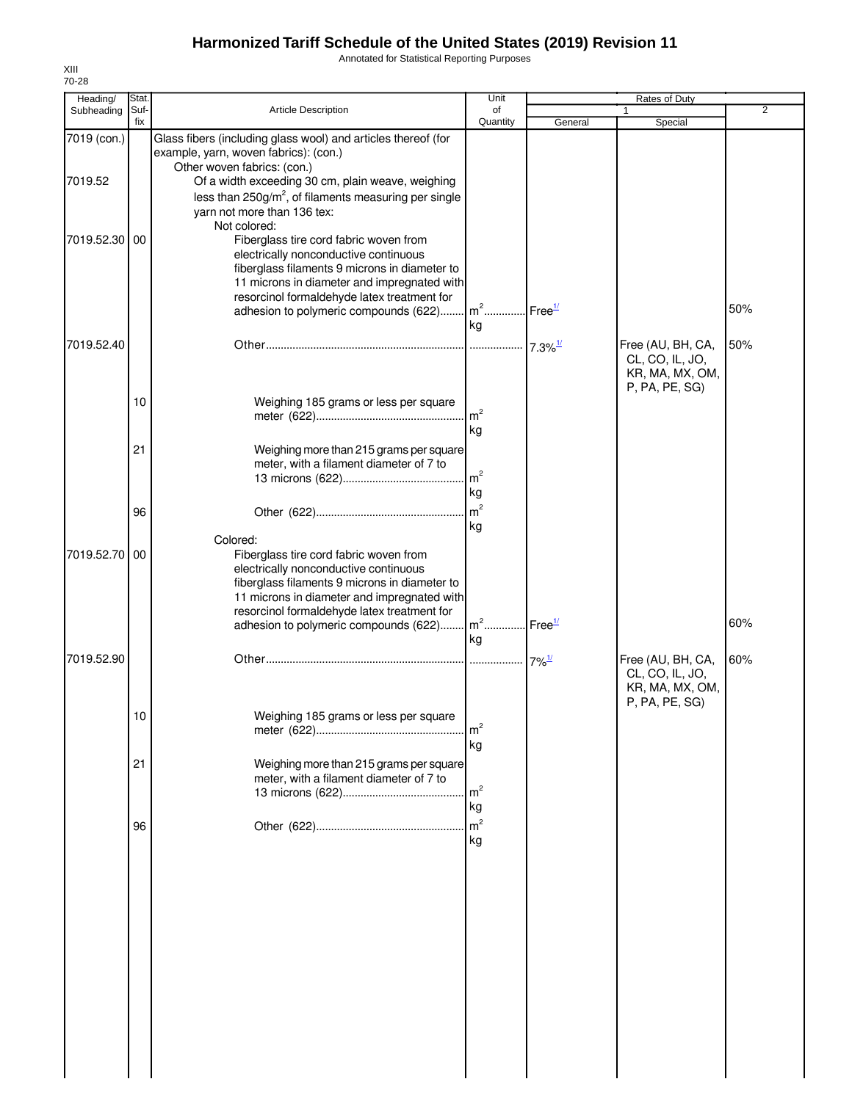Annotated for Statistical Reporting Purposes

| Heading/               | Stat.<br>Suf- |                                                                                                                                                                                                                                                                                                                           | Unit                 |                       | Rates of Duty<br>1                                                        | $\overline{2}$ |
|------------------------|---------------|---------------------------------------------------------------------------------------------------------------------------------------------------------------------------------------------------------------------------------------------------------------------------------------------------------------------------|----------------------|-----------------------|---------------------------------------------------------------------------|----------------|
| Subheading             | fix           | <b>Article Description</b>                                                                                                                                                                                                                                                                                                | of<br>Quantity       | General               | Special                                                                   |                |
| 7019 (con.)<br>7019.52 |               | Glass fibers (including glass wool) and articles thereof (for<br>example, yarn, woven fabrics): (con.)<br>Other woven fabrics: (con.)<br>Of a width exceeding 30 cm, plain weave, weighing<br>less than 250g/m <sup>2</sup> , of filaments measuring per single<br>yarn not more than 136 tex:                            |                      |                       |                                                                           |                |
| 7019.52.30 00          |               | Not colored:<br>Fiberglass tire cord fabric woven from<br>electrically nonconductive continuous<br>fiberglass filaments 9 microns in diameter to<br>11 microns in diameter and impregnated with<br>resorcinol formaldehyde latex treatment for<br>adhesion to polymeric compounds (622) m <sup>2</sup> Free <sup>1/</sup> |                      |                       |                                                                           | 50%            |
| 7019.52.40             |               |                                                                                                                                                                                                                                                                                                                           | kg                   | $7.3\%$ <sup>1/</sup> | Free (AU, BH, CA,<br>CL, CO, IL, JO,<br>KR, MA, MX, OM,<br>P, PA, PE, SG) | 50%            |
|                        | 10            | Weighing 185 grams or less per square                                                                                                                                                                                                                                                                                     | m <sup>2</sup><br>kg |                       |                                                                           |                |
|                        | 21            | Weighing more than 215 grams per square<br>meter, with a filament diameter of 7 to                                                                                                                                                                                                                                        | m <sup>2</sup><br>kg |                       |                                                                           |                |
|                        | 96            | Colored:                                                                                                                                                                                                                                                                                                                  | kg                   |                       |                                                                           |                |
| 7019.52.70 00          |               | Fiberglass tire cord fabric woven from<br>electrically nonconductive continuous<br>fiberglass filaments 9 microns in diameter to<br>11 microns in diameter and impregnated with<br>resorcinol formaldehyde latex treatment for<br>adhesion to polymeric compounds (622) m <sup>2</sup> Free <sup>1/</sup>                 |                      |                       |                                                                           | 60%            |
| 7019.52.90             |               |                                                                                                                                                                                                                                                                                                                           | kg                   | $7\%$ <sup>1/</sup>   | Free (AU, BH, CA,<br>CL, CO, IL, JO,<br>KR, MA, MX, OM,                   | 60%            |
|                        | 10            | Weighing 185 grams or less per square                                                                                                                                                                                                                                                                                     | m <sup>2</sup><br>kg |                       | P, PA, PE, SG)                                                            |                |
|                        | 21            | Weighing more than 215 grams per square<br>meter, with a filament diameter of 7 to                                                                                                                                                                                                                                        | m <sup>2</sup><br>kg |                       |                                                                           |                |
|                        | 96            |                                                                                                                                                                                                                                                                                                                           | m <sup>2</sup><br>kg |                       |                                                                           |                |
|                        |               |                                                                                                                                                                                                                                                                                                                           |                      |                       |                                                                           |                |
|                        |               |                                                                                                                                                                                                                                                                                                                           |                      |                       |                                                                           |                |
|                        |               |                                                                                                                                                                                                                                                                                                                           |                      |                       |                                                                           |                |
|                        |               |                                                                                                                                                                                                                                                                                                                           |                      |                       |                                                                           |                |

XIII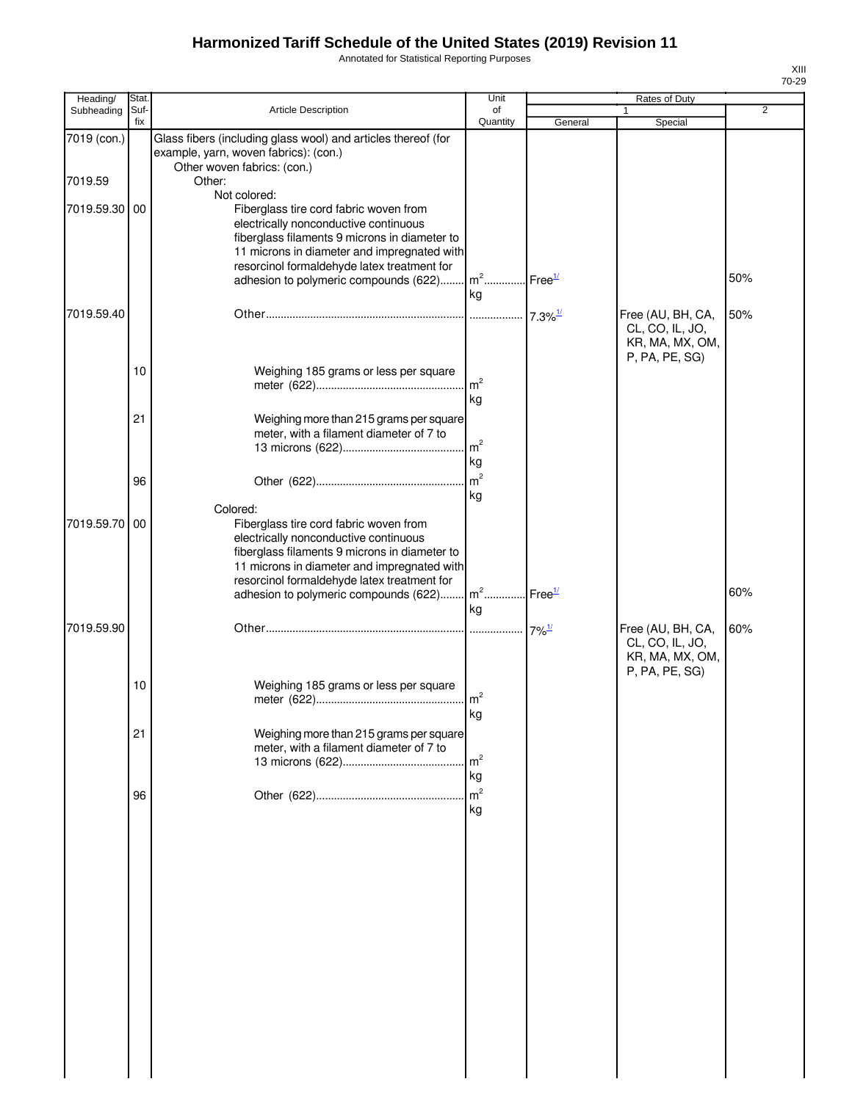Annotated for Statistical Reporting Purposes

| Heading/      | Stat.       |                                                                                                                                       | Unit                                    |         | Rates of Duty                                        |                |
|---------------|-------------|---------------------------------------------------------------------------------------------------------------------------------------|-----------------------------------------|---------|------------------------------------------------------|----------------|
| Subheading    | Suf-<br>fix | <b>Article Description</b>                                                                                                            | of<br>Quantity                          | General | Special                                              | $\overline{2}$ |
| 7019 (con.)   |             | Glass fibers (including glass wool) and articles thereof (for<br>example, yarn, woven fabrics): (con.)                                |                                         |         |                                                      |                |
| 7019.59       |             | Other woven fabrics: (con.)<br>Other:                                                                                                 |                                         |         |                                                      |                |
| 7019.59.30 00 |             | Not colored:<br>Fiberglass tire cord fabric woven from                                                                                |                                         |         |                                                      |                |
|               |             | electrically nonconductive continuous<br>fiberglass filaments 9 microns in diameter to<br>11 microns in diameter and impregnated with |                                         |         |                                                      |                |
|               |             | resorcinol formaldehyde latex treatment for                                                                                           |                                         |         |                                                      |                |
|               |             | adhesion to polymeric compounds (622)                                                                                                 | m <sup>2</sup> Free <sup>1/</sup><br>kg |         |                                                      | 50%            |
| 7019.59.40    |             |                                                                                                                                       |                                         |         | Free (AU, BH, CA,                                    | 50%            |
|               |             |                                                                                                                                       |                                         |         | CL, CO, IL, JO,<br>KR, MA, MX, OM,<br>P, PA, PE, SG) |                |
|               | 10          | Weighing 185 grams or less per square                                                                                                 |                                         |         |                                                      |                |
|               |             |                                                                                                                                       | m <sup>2</sup><br>kg                    |         |                                                      |                |
|               |             |                                                                                                                                       |                                         |         |                                                      |                |
|               | 21          | Weighing more than 215 grams per square<br>meter, with a filament diameter of 7 to                                                    |                                         |         |                                                      |                |
|               |             |                                                                                                                                       | m <sup>2</sup>                          |         |                                                      |                |
|               |             |                                                                                                                                       | kg                                      |         |                                                      |                |
|               | 96          |                                                                                                                                       | m <sup>2</sup>                          |         |                                                      |                |
|               |             | Colored:                                                                                                                              | kg                                      |         |                                                      |                |
| 7019.59.70 00 |             | Fiberglass tire cord fabric woven from                                                                                                |                                         |         |                                                      |                |
|               |             | electrically nonconductive continuous                                                                                                 |                                         |         |                                                      |                |
|               |             | fiberglass filaments 9 microns in diameter to<br>11 microns in diameter and impregnated with                                          |                                         |         |                                                      |                |
|               |             | resorcinol formaldehyde latex treatment for                                                                                           |                                         |         |                                                      |                |
|               |             | adhesion to polymeric compounds (622)                                                                                                 | m <sup>2</sup> Free <sup>1/</sup>       |         |                                                      | 60%            |
|               |             |                                                                                                                                       | kg                                      |         |                                                      |                |
| 7019.59.90    |             |                                                                                                                                       |                                         |         | Free (AU, BH, CA,<br>CL, CO, IL, JO,                 | 60%            |
|               |             |                                                                                                                                       |                                         |         | KR, MA, MX, OM,<br>P, PA, PE, SG)                    |                |
|               | 10          | Weighing 185 grams or less per square                                                                                                 |                                         |         |                                                      |                |
|               |             |                                                                                                                                       |                                         |         |                                                      |                |
|               |             |                                                                                                                                       | kg                                      |         |                                                      |                |
|               | 21          | Weighing more than 215 grams per square                                                                                               |                                         |         |                                                      |                |
|               |             | meter, with a filament diameter of 7 to                                                                                               | m <sup>2</sup>                          |         |                                                      |                |
|               |             |                                                                                                                                       | kg                                      |         |                                                      |                |
|               | 96          |                                                                                                                                       | m <sup>2</sup>                          |         |                                                      |                |
|               |             |                                                                                                                                       | kg                                      |         |                                                      |                |
|               |             |                                                                                                                                       |                                         |         |                                                      |                |
|               |             |                                                                                                                                       |                                         |         |                                                      |                |
|               |             |                                                                                                                                       |                                         |         |                                                      |                |
|               |             |                                                                                                                                       |                                         |         |                                                      |                |
|               |             |                                                                                                                                       |                                         |         |                                                      |                |
|               |             |                                                                                                                                       |                                         |         |                                                      |                |
|               |             |                                                                                                                                       |                                         |         |                                                      |                |
|               |             |                                                                                                                                       |                                         |         |                                                      |                |
|               |             |                                                                                                                                       |                                         |         |                                                      |                |
|               |             |                                                                                                                                       |                                         |         |                                                      |                |
|               |             |                                                                                                                                       |                                         |         |                                                      |                |
|               |             |                                                                                                                                       |                                         |         |                                                      |                |
|               |             |                                                                                                                                       |                                         |         |                                                      |                |
|               |             |                                                                                                                                       |                                         |         |                                                      |                |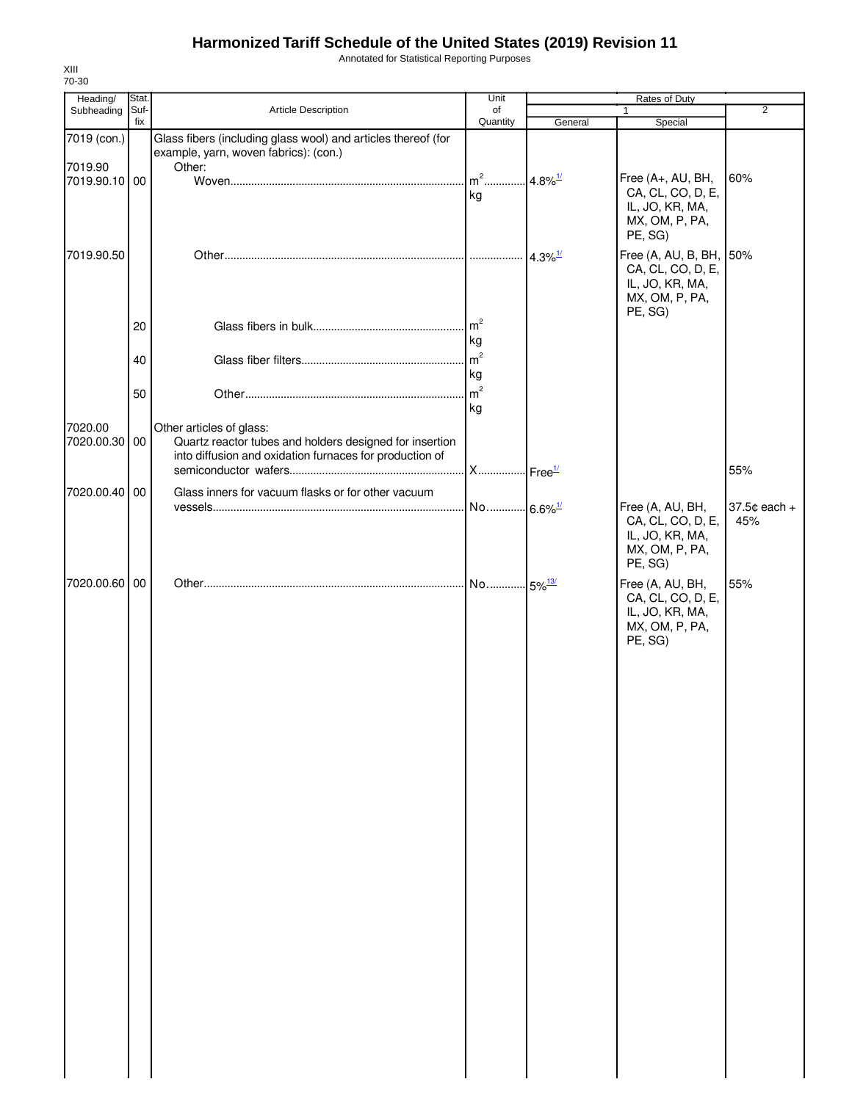Annotated for Statistical Reporting Purposes

| Heading/                 | Stat.       |                                                               | Unit           |                       | Rates of Duty                                |              |
|--------------------------|-------------|---------------------------------------------------------------|----------------|-----------------------|----------------------------------------------|--------------|
| Subheading               | Suf-<br>fix | Article Description                                           | of<br>Quantity | General               | $\mathbf{1}$<br>Special                      | 2            |
| 7019 (con.)              |             | Glass fibers (including glass wool) and articles thereof (for |                |                       |                                              |              |
|                          |             | example, yarn, woven fabrics): (con.)                         |                |                       |                                              |              |
| 7019.90<br>7019.90.10 00 |             | Other:                                                        | $m2$           | $4.8\%$ <sup>1/</sup> | Free (A+, AU, BH,                            | 60%          |
|                          |             |                                                               | kg             |                       | CA, CL, CO, D, E,                            |              |
|                          |             |                                                               |                |                       | IL, JO, KR, MA,                              |              |
|                          |             |                                                               |                |                       | MX, OM, P, PA,<br>PE, SG)                    |              |
|                          |             |                                                               |                |                       |                                              |              |
| 7019.90.50               |             |                                                               |                | $4.3\%$ <sup>1/</sup> | Free (A, AU, B, BH, 50%<br>CA, CL, CO, D, E, |              |
|                          |             |                                                               |                |                       | IL, JO, KR, MA,                              |              |
|                          |             |                                                               |                |                       | MX, OM, P, PA,                               |              |
|                          | 20          |                                                               | m <sup>2</sup> |                       | PE, SG)                                      |              |
|                          |             |                                                               | kg             |                       |                                              |              |
|                          | 40          |                                                               | m <sup>2</sup> |                       |                                              |              |
|                          |             |                                                               | kg             |                       |                                              |              |
|                          | 50          |                                                               | m <sup>2</sup> |                       |                                              |              |
|                          |             |                                                               | kg             |                       |                                              |              |
| 7020.00                  |             | Other articles of glass:                                      |                |                       |                                              |              |
| 7020.00.30 00            |             | Quartz reactor tubes and holders designed for insertion       |                |                       |                                              |              |
|                          |             | into diffusion and oxidation furnaces for production of       |                |                       |                                              | 55%          |
| 7020.00.40 00            |             | Glass inners for vacuum flasks or for other vacuum            |                |                       |                                              |              |
|                          |             |                                                               |                |                       | Free (A, AU, BH,                             | 37.5¢ each + |
|                          |             |                                                               |                |                       | CA, CL, CO, D, E,                            | 45%          |
|                          |             |                                                               |                |                       | IL, JO, KR, MA,                              |              |
|                          |             |                                                               |                |                       | MX, OM, P, PA,<br>PE, SG)                    |              |
| 7020.00.60 00            |             |                                                               |                |                       | Free (A, AU, BH,                             | 55%          |
|                          |             |                                                               |                |                       | CA, CL, CO, D, E,                            |              |
|                          |             |                                                               |                |                       | IL, JO, KR, MA,                              |              |
|                          |             |                                                               |                |                       | MX, OM, P, PA,                               |              |
|                          |             |                                                               |                |                       | PE, SG)                                      |              |
|                          |             |                                                               |                |                       |                                              |              |
|                          |             |                                                               |                |                       |                                              |              |
|                          |             |                                                               |                |                       |                                              |              |
|                          |             |                                                               |                |                       |                                              |              |
|                          |             |                                                               |                |                       |                                              |              |
|                          |             |                                                               |                |                       |                                              |              |
|                          |             |                                                               |                |                       |                                              |              |
|                          |             |                                                               |                |                       |                                              |              |
|                          |             |                                                               |                |                       |                                              |              |
|                          |             |                                                               |                |                       |                                              |              |
|                          |             |                                                               |                |                       |                                              |              |
|                          |             |                                                               |                |                       |                                              |              |
|                          |             |                                                               |                |                       |                                              |              |
|                          |             |                                                               |                |                       |                                              |              |
|                          |             |                                                               |                |                       |                                              |              |
|                          |             |                                                               |                |                       |                                              |              |
|                          |             |                                                               |                |                       |                                              |              |
|                          |             |                                                               |                |                       |                                              |              |
|                          |             |                                                               |                |                       |                                              |              |
|                          |             |                                                               |                |                       |                                              |              |
|                          |             |                                                               |                |                       |                                              |              |
|                          |             |                                                               |                |                       |                                              |              |
|                          |             |                                                               |                |                       |                                              |              |